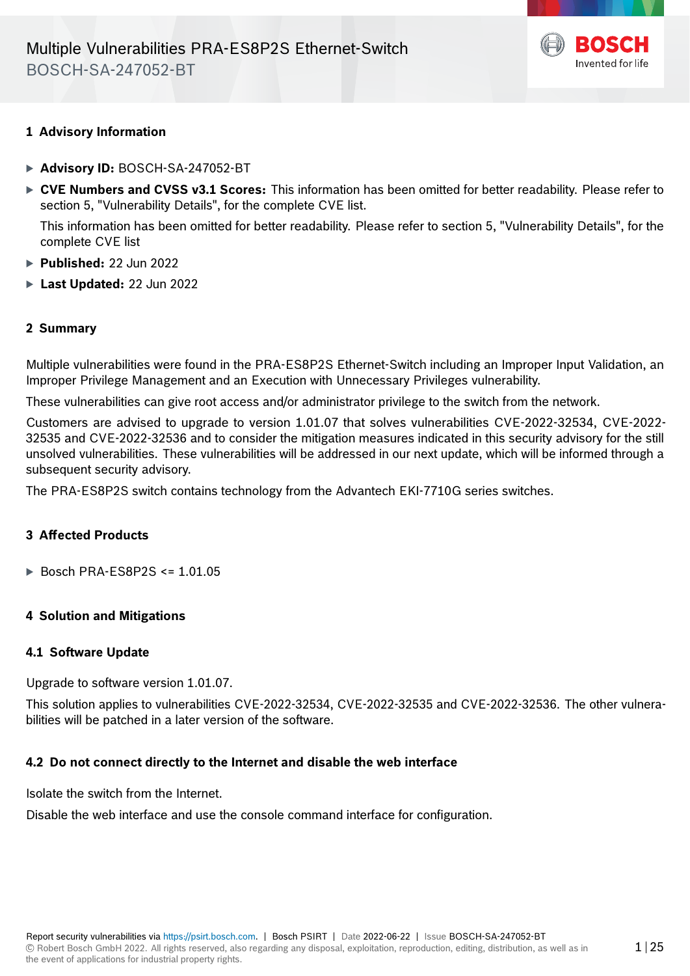

# **1 Advisory Information**

- · **Advisory ID:** BOSCH-SA-247052-BT
- · **CVE Numbers and CVSS v3.1 Scores:** This information has been omitted for better readability. Please refer to section 5, "Vulnerability Details", for the complete CVE list.

This information has been omitted for better readability. Please refer to section 5, "Vulnerability Details", for the complete CVE list

- · **Published:** 22 Jun 2022
- · **Last Updated:** 22 Jun 2022

# **2 Summary**

Multiple vulnerabilities were found in the PRA-ES8P2S Ethernet-Switch including an Improper Input Validation, an Improper Privilege Management and an Execution with Unnecessary Privileges vulnerability.

These vulnerabilities can give root access and/or administrator privilege to the switch from the network.

Customers are advised to upgrade to version 1.01.07 that solves vulnerabilities CVE-2022-32534, CVE-2022- 32535 and CVE-2022-32536 and to consider the mitigation measures indicated in this security advisory for the still unsolved vulnerabilities. These vulnerabilities will be addressed in our next update, which will be informed through a subsequent security advisory.

The PRA-ES8P2S switch contains technology from the Advantech EKI-7710G series switches.

# **3 Affected Products**

· Bosch PRA-ES8P2S <= 1.01.05

# **4 Solution and Mitigations**

## **4.1 Software Update**

Upgrade to software version 1.01.07.

This solution applies to vulnerabilities CVE-2022-32534, CVE-2022-32535 and CVE-2022-32536. The other vulnerabilities will be patched in a later version of the software.

#### **4.2 Do not connect directly to the Internet and disable the web interface**

Isolate the switch from the Internet.

Disable the web interface and use the console command interface for configuration.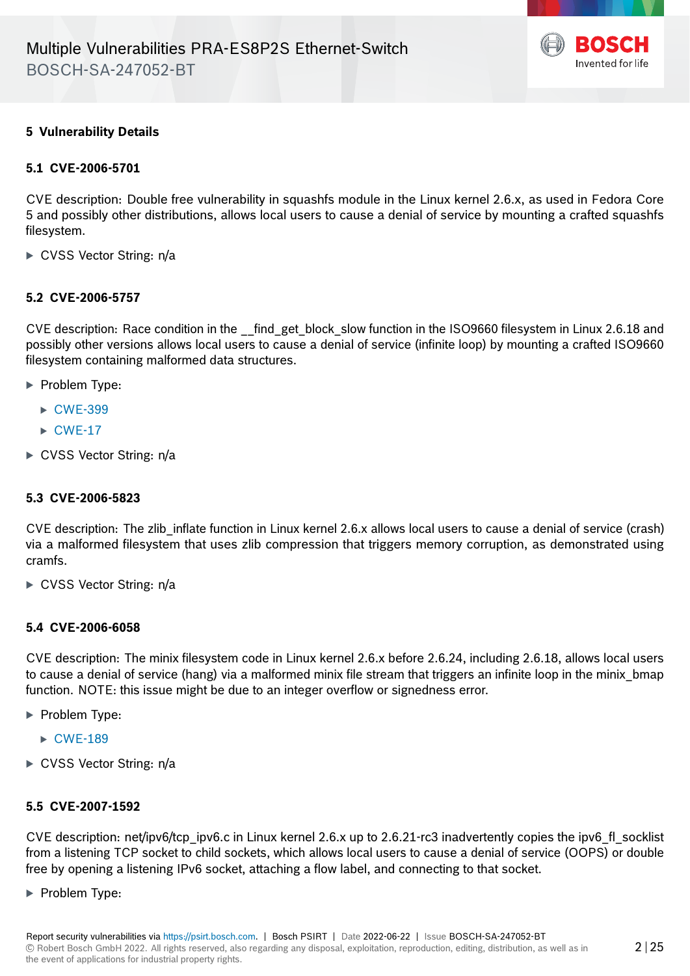

 $2|25$ 

# **5 Vulnerability Details**

## **5.1 CVE-2006-5701**

CVE description: Double free vulnerability in squashfs module in the Linux kernel 2.6.x, as used in Fedora Core 5 and possibly other distributions, allows local users to cause a denial of service by mounting a crafted squashfs filesystem.

► CVSS Vector String: n/a

# **5.2 CVE-2006-5757**

CVE description: Race condition in the \_\_find\_get\_block\_slow function in the ISO9660 filesystem in Linux 2.6.18 and possibly other versions allows local users to cause a denial of service (infinite loop) by mounting a crafted ISO9660 filesystem containing malformed data structures.

- ▶ Problem Type:
	- ▶ [CWE-399](https://cwe.mitre.org/data/definitions/399.html)
	- $\triangleright$  [CWE-17](https://cwe.mitre.org/data/definitions/17.html)
- ► CVSS Vector String: n/a

#### **5.3 CVE-2006-5823**

CVE description: The zlib inflate function in Linux kernel 2.6.x allows local users to cause a denial of service (crash) via a malformed filesystem that uses zlib compression that triggers memory corruption, as demonstrated using cramfs.

► CVSS Vector String: n/a

#### **5.4 CVE-2006-6058**

CVE description: The minix filesystem code in Linux kernel 2.6.x before 2.6.24, including 2.6.18, allows local users to cause a denial of service (hang) via a malformed minix file stream that triggers an infinite loop in the minix\_bmap function. NOTE: this issue might be due to an integer overflow or signedness error.

- **Problem Type:** 
	- $\triangleright$  [CWE-189](https://cwe.mitre.org/data/definitions/189.html)
- ► CVSS Vector String: n/a

#### **5.5 CVE-2007-1592**

CVE description: net/ipv6/tcp\_ipv6.c in Linux kernel 2.6.x up to 2.6.21-rc3 inadvertently copies the ipv6\_fl\_socklist from a listening TCP socket to child sockets, which allows local users to cause a denial of service (OOPS) or double free by opening a listening IPv6 socket, attaching a flow label, and connecting to that socket.

**Problem Type:**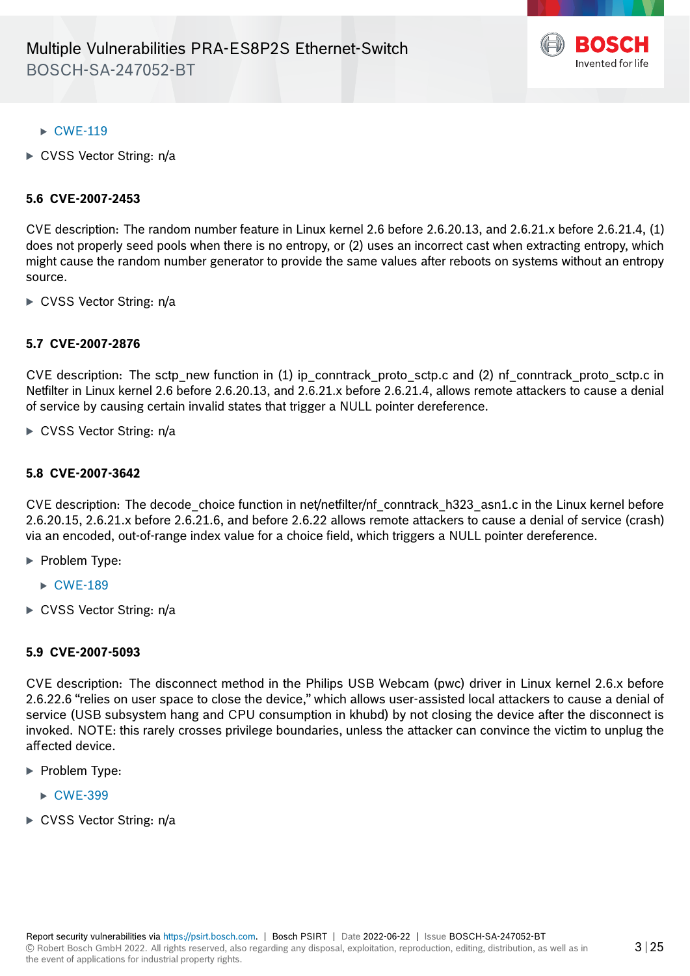

# $\triangleright$  [CWE-119](https://cwe.mitre.org/data/definitions/119.html)

► CVSS Vector String: n/a

## **5.6 CVE-2007-2453**

CVE description: The random number feature in Linux kernel 2.6 before 2.6.20.13, and 2.6.21.x before 2.6.21.4, (1) does not properly seed pools when there is no entropy, or (2) uses an incorrect cast when extracting entropy, which might cause the random number generator to provide the same values after reboots on systems without an entropy source.

► CVSS Vector String: n/a

# **5.7 CVE-2007-2876**

CVE description: The sctp\_new function in (1) ip\_conntrack\_proto\_sctp.c and (2) nf\_conntrack\_proto\_sctp.c in Netfilter in Linux kernel 2.6 before 2.6.20.13, and 2.6.21.x before 2.6.21.4, allows remote attackers to cause a denial of service by causing certain invalid states that trigger a NULL pointer dereference.

 $\triangleright$  CVSS Vector String: n/a

#### **5.8 CVE-2007-3642**

CVE description: The decode\_choice function in net/netfilter/nf\_conntrack\_h323\_asn1.c in the Linux kernel before 2.6.20.15, 2.6.21.x before 2.6.21.6, and before 2.6.22 allows remote attackers to cause a denial of service (crash) via an encoded, out-of-range index value for a choice field, which triggers a NULL pointer dereference.

- **Problem Type:** 
	- $\triangleright$  [CWE-189](https://cwe.mitre.org/data/definitions/189.html)
- ► CVSS Vector String: n/a

#### **5.9 CVE-2007-5093**

CVE description: The disconnect method in the Philips USB Webcam (pwc) driver in Linux kernel 2.6.x before 2.6.22.6 "relies on user space to close the device," which allows user-assisted local attackers to cause a denial of service (USB subsystem hang and CPU consumption in khubd) by not closing the device after the disconnect is invoked. NOTE: this rarely crosses privilege boundaries, unless the attacker can convince the victim to unplug the affected device.

- · Problem Type:
	- ▶ [CWE-399](https://cwe.mitre.org/data/definitions/399.html)
- CVSS Vector String: n/a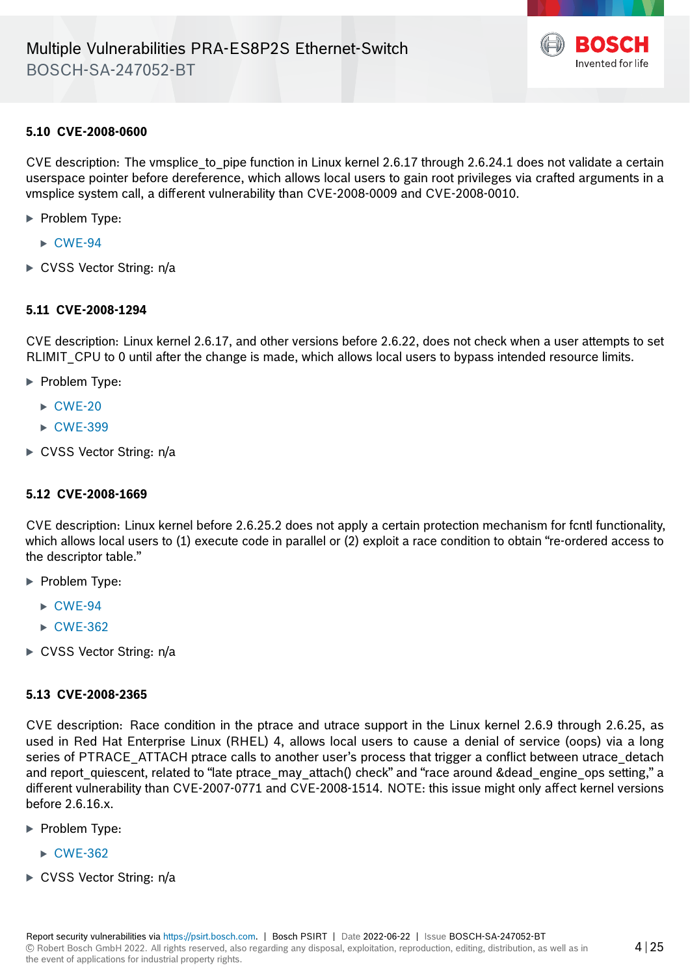

## **5.10 CVE-2008-0600**

CVE description: The vmsplice to pipe function in Linux kernel 2.6.17 through 2.6.24.1 does not validate a certain userspace pointer before dereference, which allows local users to gain root privileges via crafted arguments in a vmsplice system call, a different vulnerability than CVE-2008-0009 and CVE-2008-0010.

- **Problem Type:** 
	- $\triangleright$  [CWE-94](https://cwe.mitre.org/data/definitions/94.html)
- ► CVSS Vector String: n/a

## **5.11 CVE-2008-1294**

CVE description: Linux kernel 2.6.17, and other versions before 2.6.22, does not check when a user attempts to set RLIMIT CPU to 0 until after the change is made, which allows local users to bypass intended resource limits.

- ▶ Problem Type:
	- $\triangleright$  [CWE-20](https://cwe.mitre.org/data/definitions/20.html)
	- ▶ [CWE-399](https://cwe.mitre.org/data/definitions/399.html)
- ► CVSS Vector String: n/a

#### **5.12 CVE-2008-1669**

CVE description: Linux kernel before 2.6.25.2 does not apply a certain protection mechanism for fcntl functionality, which allows local users to (1) execute code in parallel or (2) exploit a race condition to obtain "re-ordered access to the descriptor table."

- · Problem Type:
	- $\triangleright$  [CWE-94](https://cwe.mitre.org/data/definitions/94.html)
	- $\triangleright$  [CWE-362](https://cwe.mitre.org/data/definitions/362.html)
- ► CVSS Vector String: n/a

#### **5.13 CVE-2008-2365**

CVE description: Race condition in the ptrace and utrace support in the Linux kernel 2.6.9 through 2.6.25, as used in Red Hat Enterprise Linux (RHEL) 4, allows local users to cause a denial of service (oops) via a long series of PTRACE\_ATTACH ptrace calls to another user's process that trigger a conflict between utrace\_detach and report\_quiescent, related to "late ptrace\_may\_attach() check" and "race around &dead\_engine\_ops setting," a different vulnerability than CVE-2007-0771 and CVE-2008-1514. NOTE: this issue might only affect kernel versions before 2.6.16.x.

- **Problem Type:** 
	- $\triangleright$  [CWE-362](https://cwe.mitre.org/data/definitions/362.html)
- ► CVSS Vector String: n/a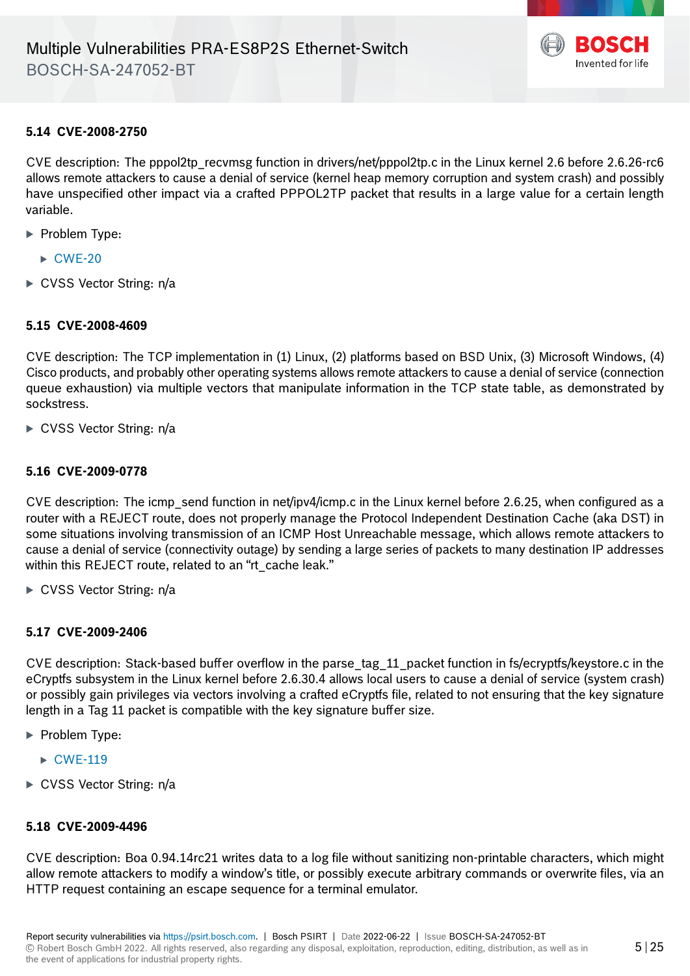

# **5.14 CVE-2008-2750**

CVE description: The pppol2tp recvmsg function in drivers/net/pppol2tp.c in the Linux kernel 2.6 before 2.6.26-rc6 allows remote attackers to cause a denial of service (kernel heap memory corruption and system crash) and possibly have unspecified other impact via a crafted PPPOL2TP packet that results in a large value for a certain length variable.

- · Problem Type:
	- $\triangleright$  [CWE-20](https://cwe.mitre.org/data/definitions/20.html)
- ► CVSS Vector String: n/a

# **5.15 CVE-2008-4609**

CVE description: The TCP implementation in (1) Linux, (2) platforms based on BSD Unix, (3) Microsoft Windows, (4) Cisco products, and probably other operating systems allows remote attackers to cause a denial of service (connection queue exhaustion) via multiple vectors that manipulate information in the TCP state table, as demonstrated by sockstress.

► CVSS Vector String: n/a

#### **5.16 CVE-2009-0778**

CVE description: The icmp\_send function in net/ipv4/icmp.c in the Linux kernel before 2.6.25, when configured as a router with a REJECT route, does not properly manage the Protocol Independent Destination Cache (aka DST) in some situations involving transmission of an ICMP Host Unreachable message, which allows remote attackers to cause a denial of service (connectivity outage) by sending a large series of packets to many destination IP addresses within this REJECT route, related to an "rt\_cache leak."

► CVSS Vector String: n/a

# **5.17 CVE-2009-2406**

CVE description: Stack-based buffer overflow in the parse\_tag\_11\_packet function in fs/ecryptfs/keystore.c in the eCryptfs subsystem in the Linux kernel before 2.6.30.4 allows local users to cause a denial of service (system crash) or possibly gain privileges via vectors involving a crafted eCryptfs file, related to not ensuring that the key signature length in a Tag 11 packet is compatible with the key signature buffer size.

- ▶ Problem Type:
	- $\triangleright$  [CWE-119](https://cwe.mitre.org/data/definitions/119.html)
- ► CVSS Vector String: n/a

#### **5.18 CVE-2009-4496**

CVE description: Boa 0.94.14rc21 writes data to a log file without sanitizing non-printable characters, which might allow remote attackers to modify a window's title, or possibly execute arbitrary commands or overwrite files, via an HTTP request containing an escape sequence for a terminal emulator.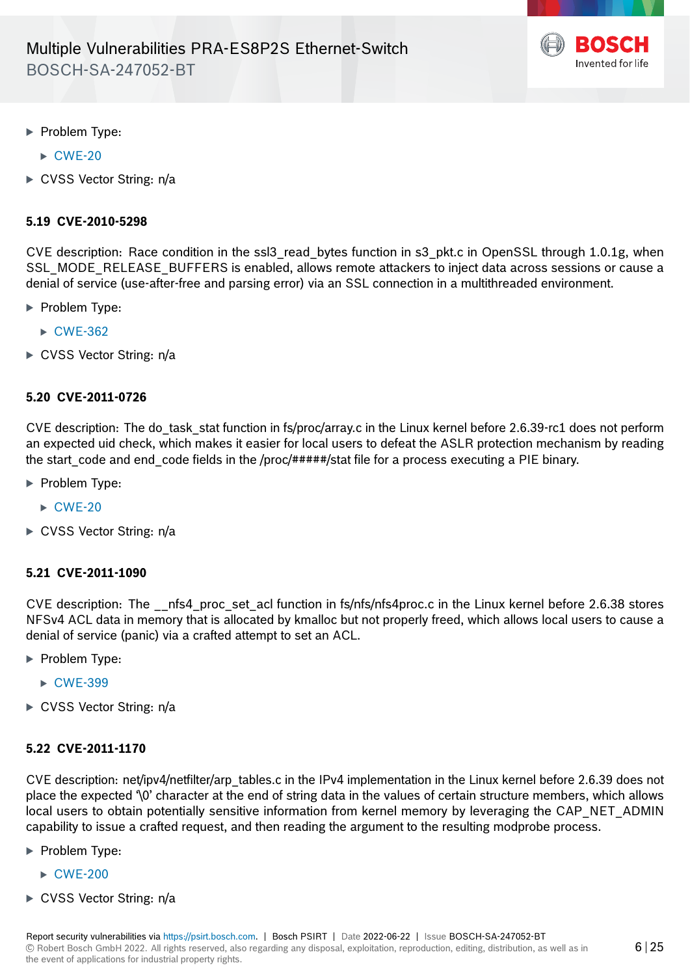

- · Problem Type:
	- $\triangleright$  [CWE-20](https://cwe.mitre.org/data/definitions/20.html)
- ► CVSS Vector String: n/a

## **5.19 CVE-2010-5298**

CVE description: Race condition in the ssl3\_read\_bytes function in s3\_pkt.c in OpenSSL through 1.0.1g, when SSL\_MODE\_RELEASE\_BUFFERS is enabled, allows remote attackers to inject data across sessions or cause a denial of service (use-after-free and parsing error) via an SSL connection in a multithreaded environment.

- **Problem Type:** 
	- $\triangleright$  [CWE-362](https://cwe.mitre.org/data/definitions/362.html)
- ► CVSS Vector String: n/a

#### **5.20 CVE-2011-0726**

CVE description: The do\_task\_stat function in fs/proc/array.c in the Linux kernel before 2.6.39-rc1 does not perform an expected uid check, which makes it easier for local users to defeat the ASLR protection mechanism by reading the start code and end code fields in the /proc/#####/stat file for a process executing a PIE binary.

- **Problem Type:** 
	- $\triangleright$  [CWE-20](https://cwe.mitre.org/data/definitions/20.html)
- ► CVSS Vector String: n/a

#### **5.21 CVE-2011-1090**

CVE description: The \_\_nfs4\_proc\_set\_acl function in fs/nfs/nfs4proc.c in the Linux kernel before 2.6.38 stores NFSv4 ACL data in memory that is allocated by kmalloc but not properly freed, which allows local users to cause a denial of service (panic) via a crafted attempt to set an ACL.

- **Problem Type:** 
	- ► [CWE-399](https://cwe.mitre.org/data/definitions/399.html)
- ► CVSS Vector String: n/a

#### **5.22 CVE-2011-1170**

CVE description: net/ipv4/netfilter/arp\_tables.c in the IPv4 implementation in the Linux kernel before 2.6.39 does not place the expected '\0' character at the end of string data in the values of certain structure members, which allows local users to obtain potentially sensitive information from kernel memory by leveraging the CAP\_NET\_ADMIN capability to issue a crafted request, and then reading the argument to the resulting modprobe process.

- · Problem Type:
	- · [CWE-200](https://cwe.mitre.org/data/definitions/200.html)
- ► CVSS Vector String: n/a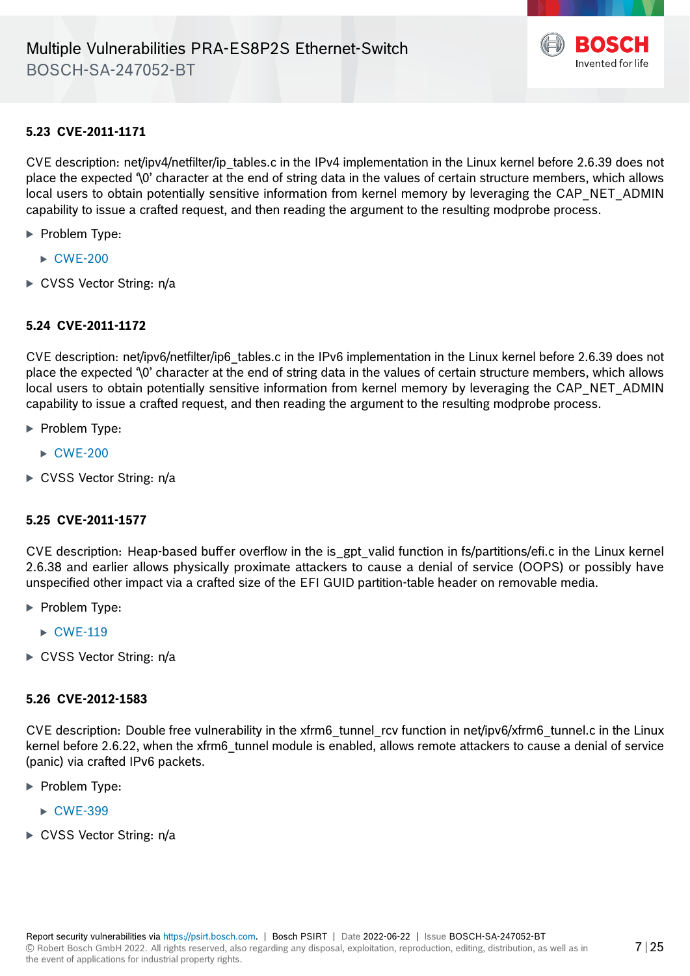

# **5.23 CVE-2011-1171**

CVE description: net/ipv4/netfilter/ip\_tables.c in the IPv4 implementation in the Linux kernel before 2.6.39 does not place the expected '\0' character at the end of string data in the values of certain structure members, which allows local users to obtain potentially sensitive information from kernel memory by leveraging the CAP\_NET\_ADMIN capability to issue a crafted request, and then reading the argument to the resulting modprobe process.

- · Problem Type:
	- $\triangleright$  [CWE-200](https://cwe.mitre.org/data/definitions/200.html)
- ► CVSS Vector String: n/a

# **5.24 CVE-2011-1172**

CVE description: net/ipv6/netfilter/ip6 tables.c in the IPv6 implementation in the Linux kernel before 2.6.39 does not place the expected '\0' character at the end of string data in the values of certain structure members, which allows local users to obtain potentially sensitive information from kernel memory by leveraging the CAP\_NET\_ADMIN capability to issue a crafted request, and then reading the argument to the resulting modprobe process.

- **Problem Type:** 
	- · [CWE-200](https://cwe.mitre.org/data/definitions/200.html)
- ► CVSS Vector String: n/a

#### **5.25 CVE-2011-1577**

CVE description: Heap-based buffer overflow in the is\_gpt\_valid function in fs/partitions/efi.c in the Linux kernel 2.6.38 and earlier allows physically proximate attackers to cause a denial of service (OOPS) or possibly have unspecified other impact via a crafted size of the EFI GUID partition-table header on removable media.

- · Problem Type:
	- $\triangleright$  [CWE-119](https://cwe.mitre.org/data/definitions/119.html)
- ► CVSS Vector String: n/a

#### **5.26 CVE-2012-1583**

CVE description: Double free vulnerability in the xfrm6\_tunnel\_rcv function in net/ipv6/xfrm6\_tunnel.c in the Linux kernel before 2.6.22, when the xfrm6 tunnel module is enabled, allows remote attackers to cause a denial of service (panic) via crafted IPv6 packets.

- · Problem Type:
	- ▶ [CWE-399](https://cwe.mitre.org/data/definitions/399.html)
- ► CVSS Vector String: n/a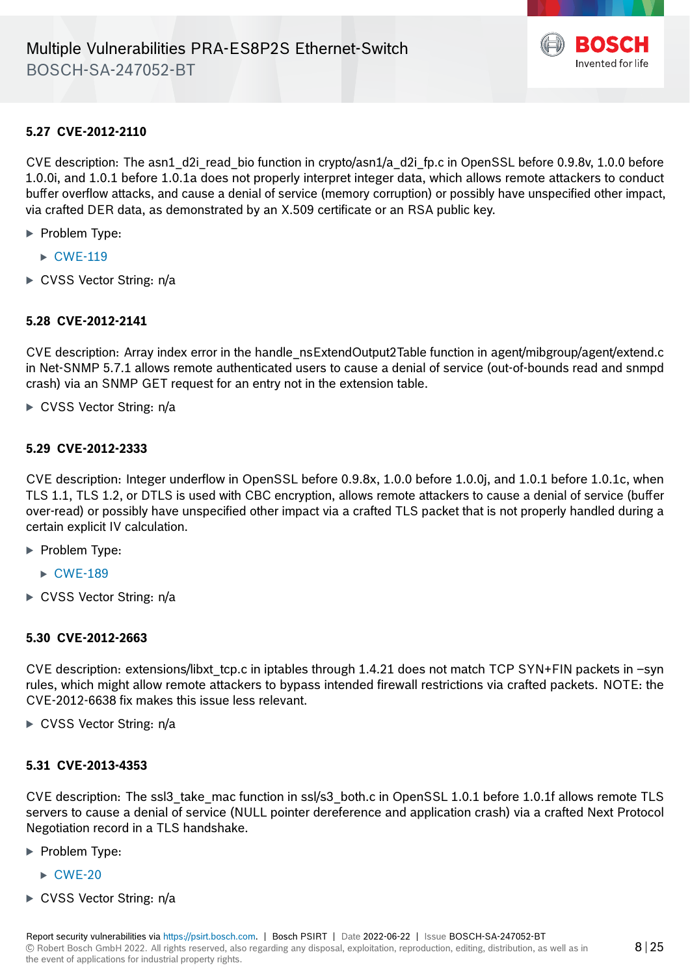

# **5.27 CVE-2012-2110**

CVE description: The asn1 d2i read bio function in crypto/asn1/a d2i fp.c in OpenSSL before 0.9.8v, 1.0.0 before 1.0.0i, and 1.0.1 before 1.0.1a does not properly interpret integer data, which allows remote attackers to conduct buffer overflow attacks, and cause a denial of service (memory corruption) or possibly have unspecified other impact, via crafted DER data, as demonstrated by an X.509 certificate or an RSA public key.

- ▶ Problem Type:
	- $\triangleright$  [CWE-119](https://cwe.mitre.org/data/definitions/119.html)
- $\triangleright$  CVSS Vector String: n/a

#### **5.28 CVE-2012-2141**

CVE description: Array index error in the handle\_nsExtendOutput2Table function in agent/mibgroup/agent/extend.c in Net-SNMP 5.7.1 allows remote authenticated users to cause a denial of service (out-of-bounds read and snmpd crash) via an SNMP GET request for an entry not in the extension table.

► CVSS Vector String: n/a

#### **5.29 CVE-2012-2333**

CVE description: Integer underflow in OpenSSL before 0.9.8x, 1.0.0 before 1.0.0j, and 1.0.1 before 1.0.1c, when TLS 1.1, TLS 1.2, or DTLS is used with CBC encryption, allows remote attackers to cause a denial of service (buffer over-read) or possibly have unspecified other impact via a crafted TLS packet that is not properly handled during a certain explicit IV calculation.

- ▶ Problem Type:
	- $\triangleright$  [CWE-189](https://cwe.mitre.org/data/definitions/189.html)
- ► CVSS Vector String: n/a

## **5.30 CVE-2012-2663**

CVE description: extensions/libxt\_tcp.c in iptables through 1.4.21 does not match TCP SYN+FIN packets in –syn rules, which might allow remote attackers to bypass intended firewall restrictions via crafted packets. NOTE: the CVE-2012-6638 fix makes this issue less relevant.

► CVSS Vector String: n/a

#### **5.31 CVE-2013-4353**

CVE description: The ssl3\_take\_mac function in ssl/s3\_both.c in OpenSSL 1.0.1 before 1.0.1f allows remote TLS servers to cause a denial of service (NULL pointer dereference and application crash) via a crafted Next Protocol Negotiation record in a TLS handshake.

- · Problem Type:
	- $\triangleright$  [CWE-20](https://cwe.mitre.org/data/definitions/20.html)
- ► CVSS Vector String: n/a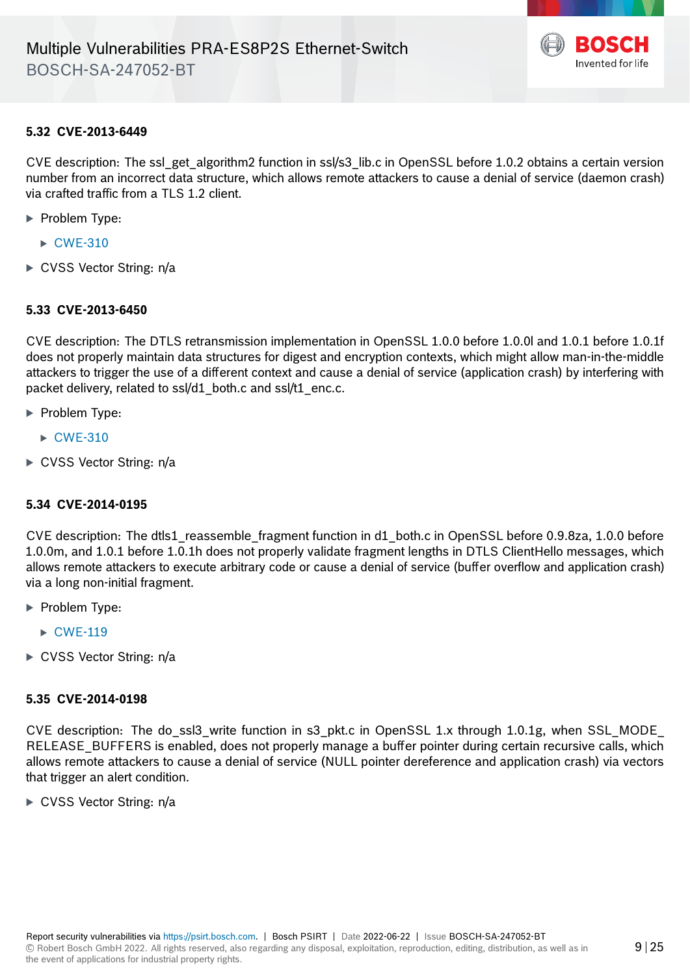

#### **5.32 CVE-2013-6449**

CVE description: The ssl\_get\_algorithm2 function in ssl/s3\_lib.c in OpenSSL before 1.0.2 obtains a certain version number from an incorrect data structure, which allows remote attackers to cause a denial of service (daemon crash) via crafted traffic from a TLS 1.2 client.

- **Problem Type:** 
	- $\triangleright$  [CWE-310](https://cwe.mitre.org/data/definitions/310.html)
- ► CVSS Vector String: n/a

#### **5.33 CVE-2013-6450**

CVE description: The DTLS retransmission implementation in OpenSSL 1.0.0 before 1.0.0l and 1.0.1 before 1.0.1f does not properly maintain data structures for digest and encryption contexts, which might allow man-in-the-middle attackers to trigger the use of a different context and cause a denial of service (application crash) by interfering with packet delivery, related to ssl/d1 both.c and ssl/t1 enc.c.

- · Problem Type:
	- $\triangleright$  [CWE-310](https://cwe.mitre.org/data/definitions/310.html)
- ► CVSS Vector String: n/a

#### **5.34 CVE-2014-0195**

CVE description: The dtls1 reassemble fragment function in d1 both.c in OpenSSL before 0.9.8za, 1.0.0 before 1.0.0m, and 1.0.1 before 1.0.1h does not properly validate fragment lengths in DTLS ClientHello messages, which allows remote attackers to execute arbitrary code or cause a denial of service (buffer overflow and application crash) via a long non-initial fragment.

- · Problem Type:
	- $\triangleright$  [CWE-119](https://cwe.mitre.org/data/definitions/119.html)
- ► CVSS Vector String: n/a

#### **5.35 CVE-2014-0198**

CVE description: The do\_ssl3\_write function in s3\_pkt.c in OpenSSL 1.x through 1.0.1g, when SSL\_MODE RELEASE\_BUFFERS is enabled, does not properly manage a buffer pointer during certain recursive calls, which allows remote attackers to cause a denial of service (NULL pointer dereference and application crash) via vectors that trigger an alert condition.

► CVSS Vector String: n/a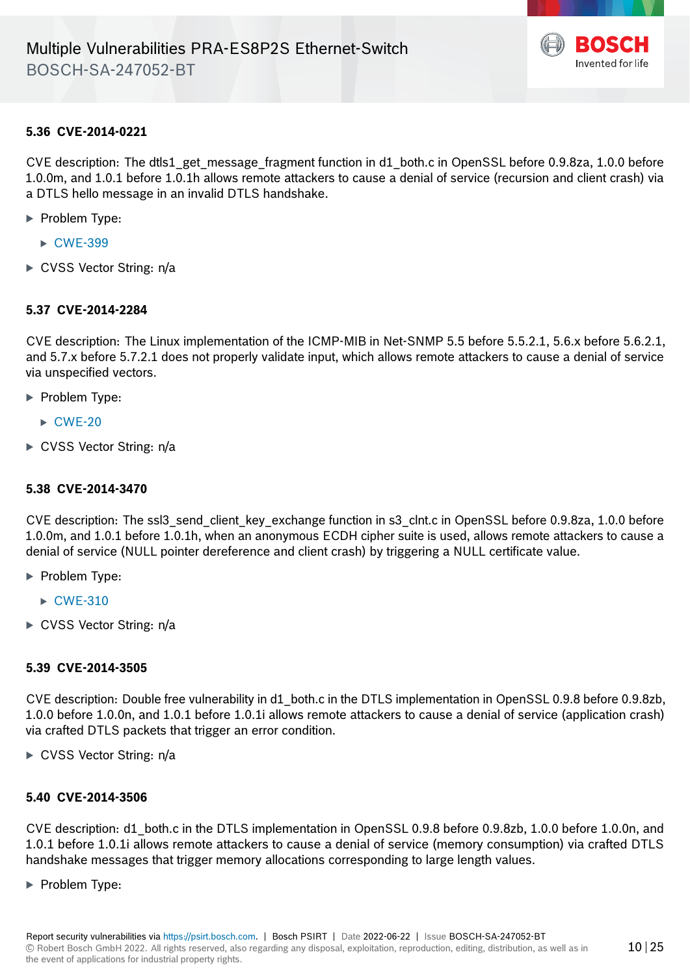

## **5.36 CVE-2014-0221**

CVE description: The dtls1 get message fragment function in d1 both.c in OpenSSL before 0.9.8za, 1.0.0 before 1.0.0m, and 1.0.1 before 1.0.1h allows remote attackers to cause a denial of service (recursion and client crash) via a DTLS hello message in an invalid DTLS handshake.

- · Problem Type:
	- ▶ [CWE-399](https://cwe.mitre.org/data/definitions/399.html)
- ► CVSS Vector String: n/a

#### **5.37 CVE-2014-2284**

CVE description: The Linux implementation of the ICMP-MIB in Net-SNMP 5.5 before 5.5.2.1, 5.6.x before 5.6.2.1, and 5.7.x before 5.7.2.1 does not properly validate input, which allows remote attackers to cause a denial of service via unspecified vectors.

- ▶ Problem Type:
	- $\triangleright$  [CWE-20](https://cwe.mitre.org/data/definitions/20.html)
- ► CVSS Vector String: n/a

#### **5.38 CVE-2014-3470**

CVE description: The ssl3\_send\_client\_key\_exchange function in s3\_clnt.c in OpenSSL before 0.9.8za, 1.0.0 before 1.0.0m, and 1.0.1 before 1.0.1h, when an anonymous ECDH cipher suite is used, allows remote attackers to cause a denial of service (NULL pointer dereference and client crash) by triggering a NULL certificate value.

- ▶ Problem Type:
	- $\triangleright$  [CWE-310](https://cwe.mitre.org/data/definitions/310.html)
- ► CVSS Vector String: n/a

#### **5.39 CVE-2014-3505**

CVE description: Double free vulnerability in d1\_both.c in the DTLS implementation in OpenSSL 0.9.8 before 0.9.8zb, 1.0.0 before 1.0.0n, and 1.0.1 before 1.0.1i allows remote attackers to cause a denial of service (application crash) via crafted DTLS packets that trigger an error condition.

 $\triangleright$  CVSS Vector String: n/a

# **5.40 CVE-2014-3506**

CVE description: d1\_both.c in the DTLS implementation in OpenSSL 0.9.8 before 0.9.8zb, 1.0.0 before 1.0.0n, and 1.0.1 before 1.0.1i allows remote attackers to cause a denial of service (memory consumption) via crafted DTLS handshake messages that trigger memory allocations corresponding to large length values.

· Problem Type: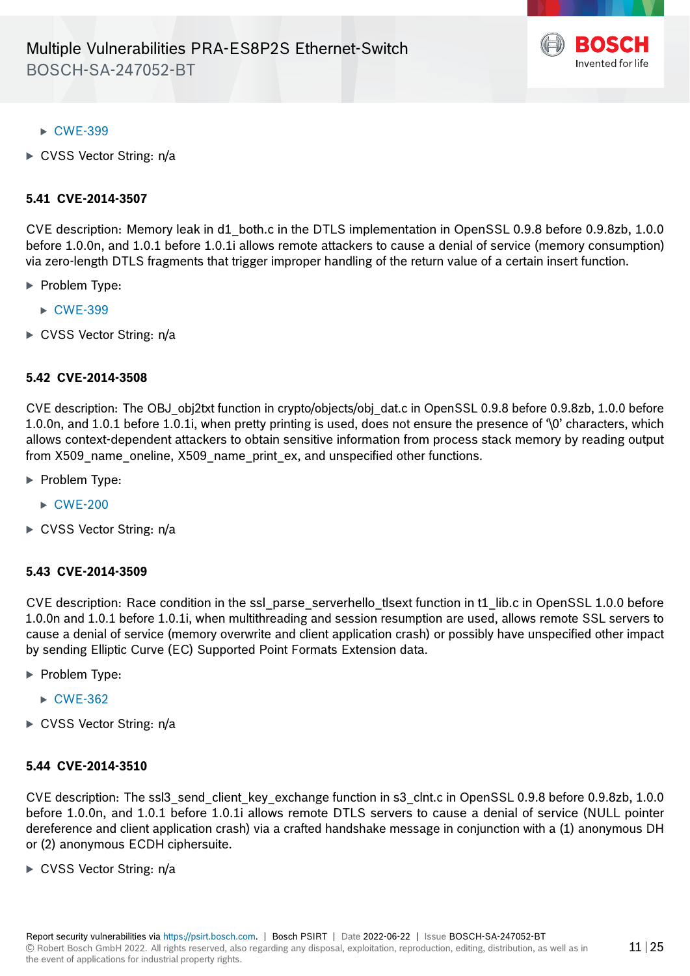

- ▶ [CWE-399](https://cwe.mitre.org/data/definitions/399.html)
- ► CVSS Vector String: n/a

#### **5.41 CVE-2014-3507**

CVE description: Memory leak in d1\_both.c in the DTLS implementation in OpenSSL 0.9.8 before 0.9.8zb, 1.0.0 before 1.0.0n, and 1.0.1 before 1.0.1i allows remote attackers to cause a denial of service (memory consumption) via zero-length DTLS fragments that trigger improper handling of the return value of a certain insert function.

- · Problem Type:
	- ▶ [CWE-399](https://cwe.mitre.org/data/definitions/399.html)
- ► CVSS Vector String: n/a

# **5.42 CVE-2014-3508**

CVE description: The OBJ\_obj2txt function in crypto/objects/obj\_dat.c in OpenSSL 0.9.8 before 0.9.8zb, 1.0.0 before 1.0.0n, and 1.0.1 before 1.0.1i, when pretty printing is used, does not ensure the presence of '\0' characters, which allows context-dependent attackers to obtain sensitive information from process stack memory by reading output from X509\_name\_oneline, X509\_name\_print\_ex, and unspecified other functions.

- · Problem Type:
	- $\triangleright$  [CWE-200](https://cwe.mitre.org/data/definitions/200.html)
- ► CVSS Vector String: n/a

#### **5.43 CVE-2014-3509**

CVE description: Race condition in the ssl\_parse\_serverhello\_tlsext function in t1\_lib.c in OpenSSL 1.0.0 before 1.0.0n and 1.0.1 before 1.0.1i, when multithreading and session resumption are used, allows remote SSL servers to cause a denial of service (memory overwrite and client application crash) or possibly have unspecified other impact by sending Elliptic Curve (EC) Supported Point Formats Extension data.

- **Problem Type:** 
	- $\triangleright$  [CWE-362](https://cwe.mitre.org/data/definitions/362.html)
- ► CVSS Vector String: n/a

#### **5.44 CVE-2014-3510**

CVE description: The ssl3\_send\_client\_key\_exchange function in s3\_clnt.c in OpenSSL 0.9.8 before 0.9.8zb, 1.0.0 before 1.0.0n, and 1.0.1 before 1.0.1i allows remote DTLS servers to cause a denial of service (NULL pointer dereference and client application crash) via a crafted handshake message in conjunction with a (1) anonymous DH or (2) anonymous ECDH ciphersuite.

► CVSS Vector String: n/a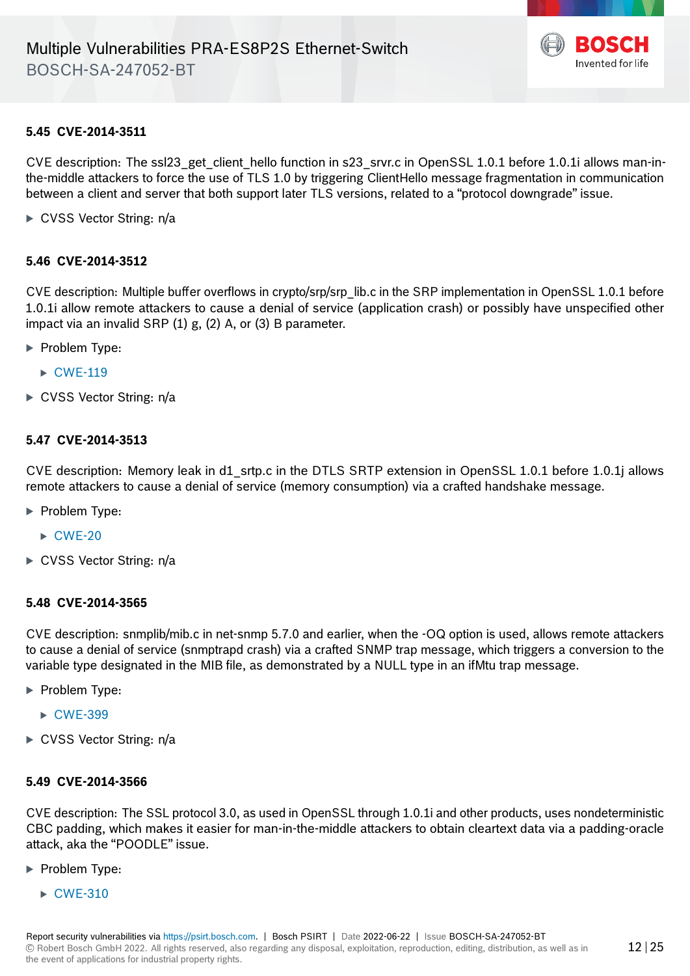

#### **5.45 CVE-2014-3511**

CVE description: The ssl23 get client hello function in s23 srvr.c in OpenSSL 1.0.1 before 1.0.1 i allows man-inthe-middle attackers to force the use of TLS 1.0 by triggering ClientHello message fragmentation in communication between a client and server that both support later TLS versions, related to a "protocol downgrade" issue.

► CVSS Vector String: n/a

#### **5.46 CVE-2014-3512**

CVE description: Multiple buffer overflows in crypto/srp/srp\_lib.c in the SRP implementation in OpenSSL 1.0.1 before 1.0.1i allow remote attackers to cause a denial of service (application crash) or possibly have unspecified other impact via an invalid SRP (1) g, (2) A, or (3) B parameter.

- · Problem Type:
	- $\triangleright$  [CWE-119](https://cwe.mitre.org/data/definitions/119.html)
- ► CVSS Vector String: n/a

#### **5.47 CVE-2014-3513**

CVE description: Memory leak in d1\_srtp.c in the DTLS SRTP extension in OpenSSL 1.0.1 before 1.0.1j allows remote attackers to cause a denial of service (memory consumption) via a crafted handshake message.

- **Problem Type:** 
	- $\triangleright$  [CWE-20](https://cwe.mitre.org/data/definitions/20.html)
- ► CVSS Vector String: n/a

#### **5.48 CVE-2014-3565**

CVE description: snmplib/mib.c in net-snmp 5.7.0 and earlier, when the -OQ option is used, allows remote attackers to cause a denial of service (snmptrapd crash) via a crafted SNMP trap message, which triggers a conversion to the variable type designated in the MIB file, as demonstrated by a NULL type in an ifMtu trap message.

- **Problem Type:** 
	- ▶ [CWE-399](https://cwe.mitre.org/data/definitions/399.html)
- ► CVSS Vector String: n/a

#### **5.49 CVE-2014-3566**

CVE description: The SSL protocol 3.0, as used in OpenSSL through 1.0.1i and other products, uses nondeterministic CBC padding, which makes it easier for man-in-the-middle attackers to obtain cleartext data via a padding-oracle attack, aka the "POODLE" issue.

- **Problem Type:** 
	- $\triangleright$  [CWE-310](https://cwe.mitre.org/data/definitions/310.html)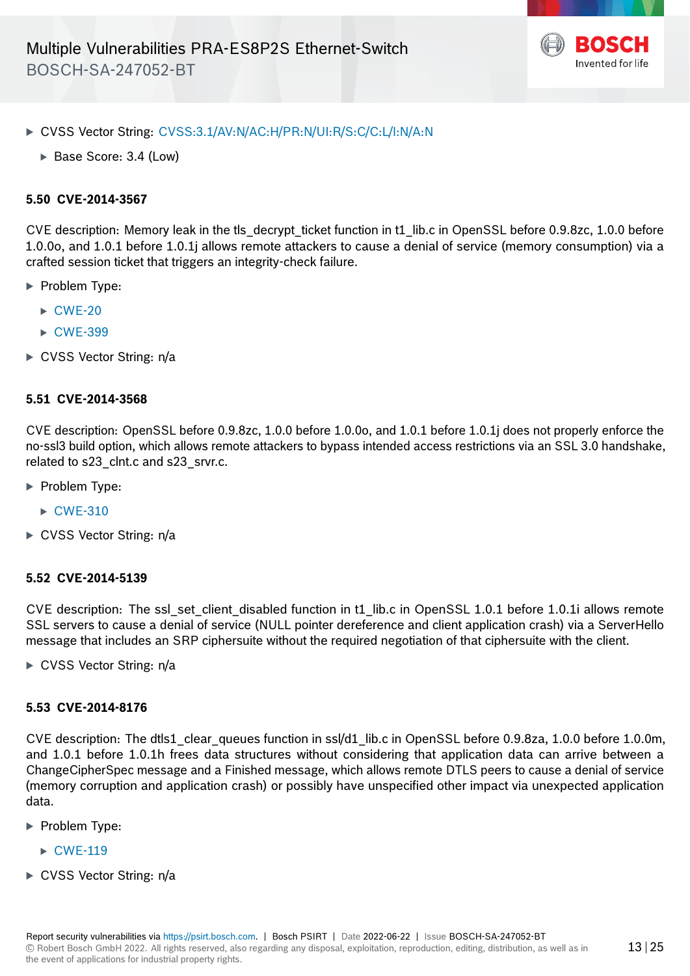

- · CVSS Vector String: [CVSS:3.1/AV:N/AC:H/PR:N/UI:R/S:C/C:L/I:N/A:N](https://www.first.org/cvss/calculator/3.1#CVSS:3.1/AV:N/AC:H/PR:N/UI:R/S:C/C:L/I:N/A:N)
	- ▶ Base Score: 3.4 (Low)

# **5.50 CVE-2014-3567**

CVE description: Memory leak in the tls\_decrypt\_ticket function in t1\_lib.c in OpenSSL before 0.9.8zc, 1.0.0 before 1.0.0o, and 1.0.1 before 1.0.1j allows remote attackers to cause a denial of service (memory consumption) via a crafted session ticket that triggers an integrity-check failure.

- · Problem Type:
	- $\triangleright$  [CWE-20](https://cwe.mitre.org/data/definitions/20.html)
	- ▶ [CWE-399](https://cwe.mitre.org/data/definitions/399.html)
- $\triangleright$  CVSS Vector String: n/a

#### **5.51 CVE-2014-3568**

CVE description: OpenSSL before 0.9.8zc, 1.0.0 before 1.0.0o, and 1.0.1 before 1.0.1j does not properly enforce the no-ssl3 build option, which allows remote attackers to bypass intended access restrictions via an SSL 3.0 handshake, related to s23\_clnt.c and s23\_srvr.c.

- **Problem Type:** 
	- $\triangleright$  [CWE-310](https://cwe.mitre.org/data/definitions/310.html)
- $\triangleright$  CVSS Vector String: n/a

#### **5.52 CVE-2014-5139**

CVE description: The ssl\_set\_client\_disabled function in t1\_lib.c in OpenSSL 1.0.1 before 1.0.1i allows remote SSL servers to cause a denial of service (NULL pointer dereference and client application crash) via a ServerHello message that includes an SRP ciphersuite without the required negotiation of that ciphersuite with the client.

▶ CVSS Vector String: n/a

#### **5.53 CVE-2014-8176**

CVE description: The dtls1\_clear\_queues function in ssl/d1\_lib.c in OpenSSL before 0.9.8za, 1.0.0 before 1.0.0m, and 1.0.1 before 1.0.1h frees data structures without considering that application data can arrive between a ChangeCipherSpec message and a Finished message, which allows remote DTLS peers to cause a denial of service (memory corruption and application crash) or possibly have unspecified other impact via unexpected application data.

- ▶ Problem Type:
	- $\triangleright$  [CWE-119](https://cwe.mitre.org/data/definitions/119.html)
- ► CVSS Vector String: n/a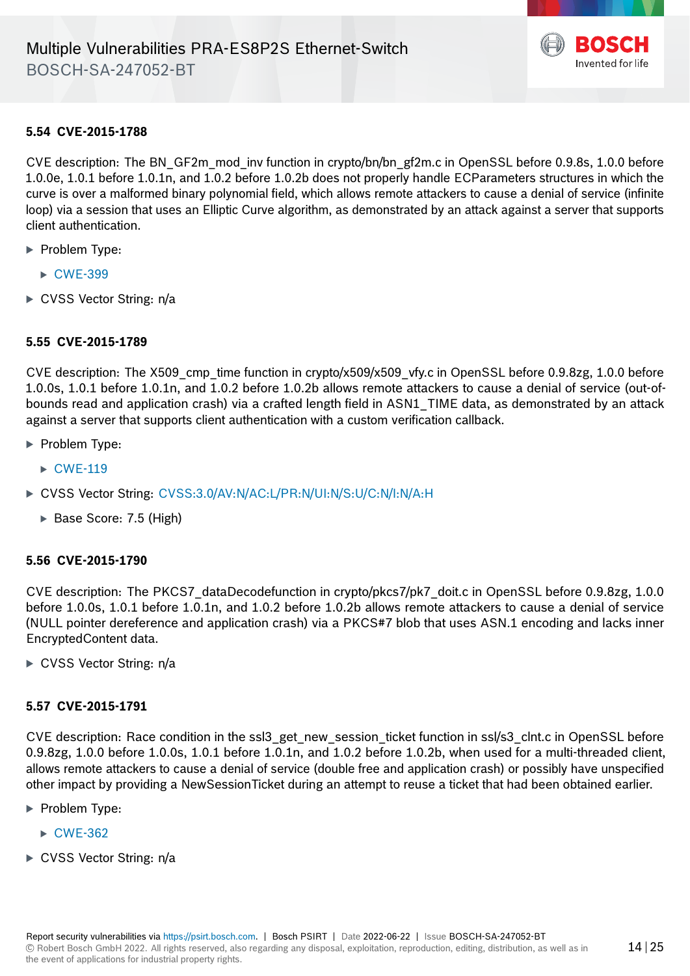

## **5.54 CVE-2015-1788**

CVE description: The BN\_GF2m\_mod\_inv function in crypto/bn/bn\_gf2m.c in OpenSSL before 0.9.8s, 1.0.0 before 1.0.0e, 1.0.1 before 1.0.1n, and 1.0.2 before 1.0.2b does not properly handle ECParameters structures in which the curve is over a malformed binary polynomial field, which allows remote attackers to cause a denial of service (infinite loop) via a session that uses an Elliptic Curve algorithm, as demonstrated by an attack against a server that supports client authentication.

- **Problem Type:** 
	- ▶ [CWE-399](https://cwe.mitre.org/data/definitions/399.html)
- ► CVSS Vector String: n/a

# **5.55 CVE-2015-1789**

CVE description: The X509 cmp time function in crypto/x509/x509 vfy.c in OpenSSL before 0.9.8zg, 1.0.0 before 1.0.0s, 1.0.1 before 1.0.1n, and 1.0.2 before 1.0.2b allows remote attackers to cause a denial of service (out-ofbounds read and application crash) via a crafted length field in ASN1\_TIME data, as demonstrated by an attack against a server that supports client authentication with a custom verification callback.

- · Problem Type:
	- $\triangleright$  [CWE-119](https://cwe.mitre.org/data/definitions/119.html)
- · CVSS Vector String: [CVSS:3.0/AV:N/AC:L/PR:N/UI:N/S:U/C:N/I:N/A:H](https://www.first.org/cvss/calculator/3.0#CVSS:3.0/AV:N/AC:L/PR:N/UI:N/S:U/C:N/I:N/A:H)
	- ▶ Base Score: 7.5 (High)

#### **5.56 CVE-2015-1790**

CVE description: The PKCS7\_dataDecodefunction in crypto/pkcs7/pk7\_doit.c in OpenSSL before 0.9.8zg, 1.0.0 before 1.0.0s, 1.0.1 before 1.0.1n, and 1.0.2 before 1.0.2b allows remote attackers to cause a denial of service (NULL pointer dereference and application crash) via a PKCS#7 blob that uses ASN.1 encoding and lacks inner EncryptedContent data.

► CVSS Vector String: n/a

#### **5.57 CVE-2015-1791**

CVE description: Race condition in the ssl3\_get\_new\_session\_ticket function in ssl/s3\_clnt.c in OpenSSL before 0.9.8zg, 1.0.0 before 1.0.0s, 1.0.1 before 1.0.1n, and 1.0.2 before 1.0.2b, when used for a multi-threaded client, allows remote attackers to cause a denial of service (double free and application crash) or possibly have unspecified other impact by providing a NewSessionTicket during an attempt to reuse a ticket that had been obtained earlier.

- ▶ Problem Type:
	- $\triangleright$  [CWE-362](https://cwe.mitre.org/data/definitions/362.html)
- ► CVSS Vector String: n/a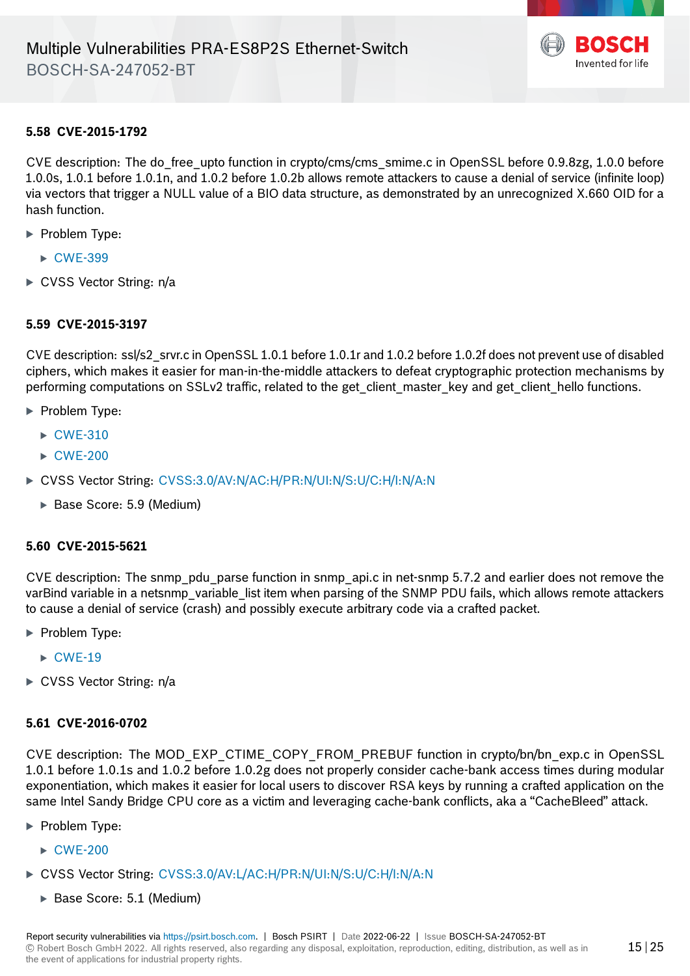

## **5.58 CVE-2015-1792**

CVE description: The do\_free\_upto function in crypto/cms/cms\_smime.c in OpenSSL before 0.9.8zg, 1.0.0 before 1.0.0s, 1.0.1 before 1.0.1n, and 1.0.2 before 1.0.2b allows remote attackers to cause a denial of service (infinite loop) via vectors that trigger a NULL value of a BIO data structure, as demonstrated by an unrecognized X.660 OID for a hash function.

- **Problem Type:** 
	- ▶ [CWE-399](https://cwe.mitre.org/data/definitions/399.html)
- $\triangleright$  CVSS Vector String: n/a

# **5.59 CVE-2015-3197**

CVE description: ssl/s2\_srvr.c in OpenSSL 1.0.1 before 1.0.1r and 1.0.2 before 1.0.2f does not prevent use of disabled ciphers, which makes it easier for man-in-the-middle attackers to defeat cryptographic protection mechanisms by performing computations on SSLv2 traffic, related to the get client master key and get client hello functions.

- **Problem Type:** 
	- $\triangleright$  [CWE-310](https://cwe.mitre.org/data/definitions/310.html)
	- $\triangleright$  [CWE-200](https://cwe.mitre.org/data/definitions/200.html)
- · CVSS Vector String: [CVSS:3.0/AV:N/AC:H/PR:N/UI:N/S:U/C:H/I:N/A:N](https://www.first.org/cvss/calculator/3.0#CVSS:3.0/AV:N/AC:H/PR:N/UI:N/S:U/C:H/I:N/A:N)
	- · Base Score: 5.9 (Medium)

#### **5.60 CVE-2015-5621**

CVE description: The snmp\_pdu\_parse function in snmp\_api.c in net-snmp 5.7.2 and earlier does not remove the varBind variable in a netsnmp variable list item when parsing of the SNMP PDU fails, which allows remote attackers to cause a denial of service (crash) and possibly execute arbitrary code via a crafted packet.

- **Problem Type:** 
	- $\triangleright$  [CWE-19](https://cwe.mitre.org/data/definitions/19.html)
- ► CVSS Vector String: n/a

## **5.61 CVE-2016-0702**

CVE description: The MOD\_EXP\_CTIME\_COPY\_FROM\_PREBUF function in crypto/bn/bn\_exp.c in OpenSSL 1.0.1 before 1.0.1s and 1.0.2 before 1.0.2g does not properly consider cache-bank access times during modular exponentiation, which makes it easier for local users to discover RSA keys by running a crafted application on the same Intel Sandy Bridge CPU core as a victim and leveraging cache-bank conflicts, aka a "CacheBleed" attack.

- · Problem Type:
	- · [CWE-200](https://cwe.mitre.org/data/definitions/200.html)
- · CVSS Vector String: [CVSS:3.0/AV:L/AC:H/PR:N/UI:N/S:U/C:H/I:N/A:N](https://www.first.org/cvss/calculator/3.0#CVSS:3.0/AV:L/AC:H/PR:N/UI:N/S:U/C:H/I:N/A:N)
	- · Base Score: 5.1 (Medium)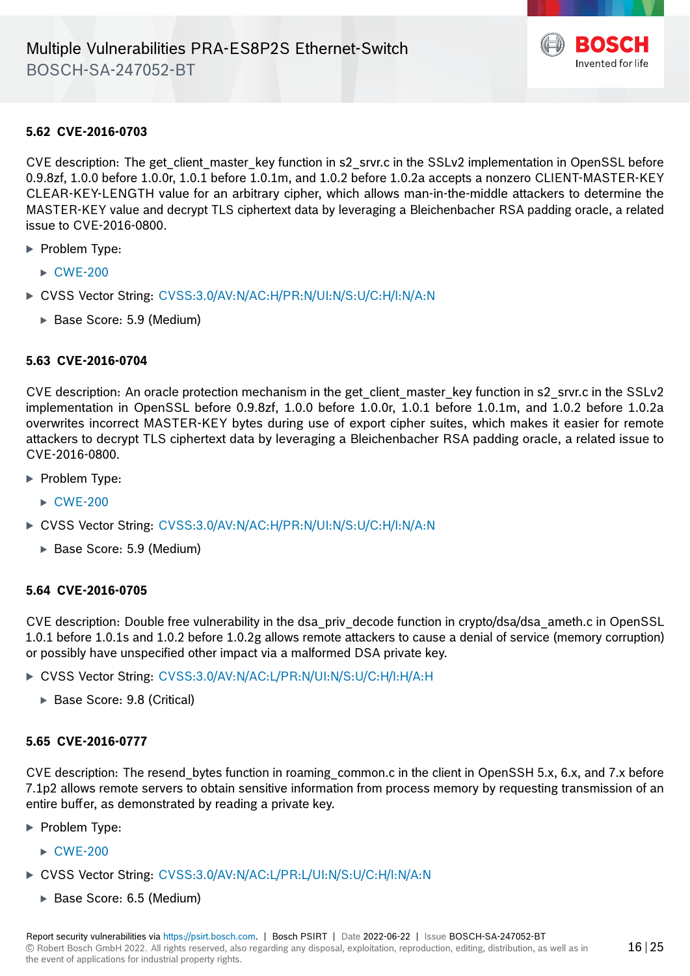

## **5.62 CVE-2016-0703**

CVE description: The get client master key function in s2 srvr.c in the SSLv2 implementation in OpenSSL before 0.9.8zf, 1.0.0 before 1.0.0r, 1.0.1 before 1.0.1m, and 1.0.2 before 1.0.2a accepts a nonzero CLIENT-MASTER-KEY CLEAR-KEY-LENGTH value for an arbitrary cipher, which allows man-in-the-middle attackers to determine the MASTER-KEY value and decrypt TLS ciphertext data by leveraging a Bleichenbacher RSA padding oracle, a related issue to CVE-2016-0800.

- · Problem Type:
	- · [CWE-200](https://cwe.mitre.org/data/definitions/200.html)
- · CVSS Vector String: [CVSS:3.0/AV:N/AC:H/PR:N/UI:N/S:U/C:H/I:N/A:N](https://www.first.org/cvss/calculator/3.0#CVSS:3.0/AV:N/AC:H/PR:N/UI:N/S:U/C:H/I:N/A:N)
	- · Base Score: 5.9 (Medium)

#### **5.63 CVE-2016-0704**

CVE description: An oracle protection mechanism in the get client master key function in s2 srvr.c in the SSLv2 implementation in OpenSSL before 0.9.8zf, 1.0.0 before 1.0.0r, 1.0.1 before 1.0.1m, and 1.0.2 before 1.0.2a overwrites incorrect MASTER-KEY bytes during use of export cipher suites, which makes it easier for remote attackers to decrypt TLS ciphertext data by leveraging a Bleichenbacher RSA padding oracle, a related issue to CVE-2016-0800.

- · Problem Type:
	- $\triangleright$  [CWE-200](https://cwe.mitre.org/data/definitions/200.html)
- · CVSS Vector String: [CVSS:3.0/AV:N/AC:H/PR:N/UI:N/S:U/C:H/I:N/A:N](https://www.first.org/cvss/calculator/3.0#CVSS:3.0/AV:N/AC:H/PR:N/UI:N/S:U/C:H/I:N/A:N)
	- · Base Score: 5.9 (Medium)

#### **5.64 CVE-2016-0705**

CVE description: Double free vulnerability in the dsa\_priv\_decode function in crypto/dsa/dsa\_ameth.c in OpenSSL 1.0.1 before 1.0.1s and 1.0.2 before 1.0.2g allows remote attackers to cause a denial of service (memory corruption) or possibly have unspecified other impact via a malformed DSA private key.

- · CVSS Vector String: [CVSS:3.0/AV:N/AC:L/PR:N/UI:N/S:U/C:H/I:H/A:H](https://www.first.org/cvss/calculator/3.0#CVSS:3.0/AV:N/AC:L/PR:N/UI:N/S:U/C:H/I:H/A:H)
	- · Base Score: 9.8 (Critical)

# **5.65 CVE-2016-0777**

CVE description: The resend\_bytes function in roaming\_common.c in the client in OpenSSH 5.x, 6.x, and 7.x before 7.1p2 allows remote servers to obtain sensitive information from process memory by requesting transmission of an entire buffer, as demonstrated by reading a private key.

- **Problem Type:** 
	- $\triangleright$  [CWE-200](https://cwe.mitre.org/data/definitions/200.html)
- · CVSS Vector String: [CVSS:3.0/AV:N/AC:L/PR:L/UI:N/S:U/C:H/I:N/A:N](https://www.first.org/cvss/calculator/3.0#CVSS:3.0/AV:N/AC:L/PR:L/UI:N/S:U/C:H/I:N/A:N)
	- · Base Score: 6.5 (Medium)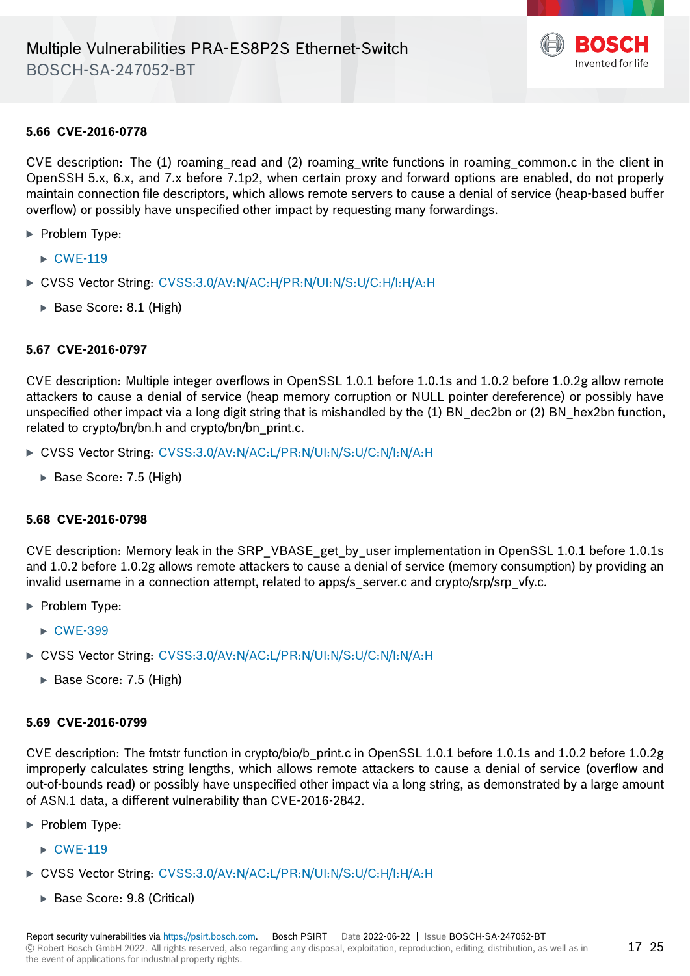

#### **5.66 CVE-2016-0778**

CVE description: The (1) roaming read and (2) roaming write functions in roaming common.c in the client in OpenSSH 5.x, 6.x, and 7.x before 7.1p2, when certain proxy and forward options are enabled, do not properly maintain connection file descriptors, which allows remote servers to cause a denial of service (heap-based buffer overflow) or possibly have unspecified other impact by requesting many forwardings.

- · Problem Type:
	- $\triangleright$  [CWE-119](https://cwe.mitre.org/data/definitions/119.html)
- · CVSS Vector String: [CVSS:3.0/AV:N/AC:H/PR:N/UI:N/S:U/C:H/I:H/A:H](https://www.first.org/cvss/calculator/3.0#CVSS:3.0/AV:N/AC:H/PR:N/UI:N/S:U/C:H/I:H/A:H)
	- · Base Score: 8.1 (High)

#### **5.67 CVE-2016-0797**

CVE description: Multiple integer overflows in OpenSSL 1.0.1 before 1.0.1s and 1.0.2 before 1.0.2g allow remote attackers to cause a denial of service (heap memory corruption or NULL pointer dereference) or possibly have unspecified other impact via a long digit string that is mishandled by the (1) BN\_dec2bn or (2) BN\_hex2bn function, related to crypto/bn/bn.h and crypto/bn/bn\_print.c.

- · CVSS Vector String: [CVSS:3.0/AV:N/AC:L/PR:N/UI:N/S:U/C:N/I:N/A:H](https://www.first.org/cvss/calculator/3.0#CVSS:3.0/AV:N/AC:L/PR:N/UI:N/S:U/C:N/I:N/A:H)
	- ▶ Base Score: 7.5 (High)

#### **5.68 CVE-2016-0798**

CVE description: Memory leak in the SRP\_VBASE\_get\_by\_user implementation in OpenSSL 1.0.1 before 1.0.1s and 1.0.2 before 1.0.2g allows remote attackers to cause a denial of service (memory consumption) by providing an invalid username in a connection attempt, related to apps/s server.c and crypto/srp/srp\_vfy.c.

- ▶ Problem Type:
	- ► [CWE-399](https://cwe.mitre.org/data/definitions/399.html)
- · CVSS Vector String: [CVSS:3.0/AV:N/AC:L/PR:N/UI:N/S:U/C:N/I:N/A:H](https://www.first.org/cvss/calculator/3.0#CVSS:3.0/AV:N/AC:L/PR:N/UI:N/S:U/C:N/I:N/A:H)
	- · Base Score: 7.5 (High)

#### **5.69 CVE-2016-0799**

CVE description: The fmtstr function in crypto/bio/b\_print.c in OpenSSL 1.0.1 before 1.0.1s and 1.0.2 before 1.0.2g improperly calculates string lengths, which allows remote attackers to cause a denial of service (overflow and out-of-bounds read) or possibly have unspecified other impact via a long string, as demonstrated by a large amount of ASN.1 data, a different vulnerability than CVE-2016-2842.

- · Problem Type:
	- $\triangleright$  [CWE-119](https://cwe.mitre.org/data/definitions/119.html)
- · CVSS Vector String: [CVSS:3.0/AV:N/AC:L/PR:N/UI:N/S:U/C:H/I:H/A:H](https://www.first.org/cvss/calculator/3.0#CVSS:3.0/AV:N/AC:L/PR:N/UI:N/S:U/C:H/I:H/A:H)
	- · Base Score: 9.8 (Critical)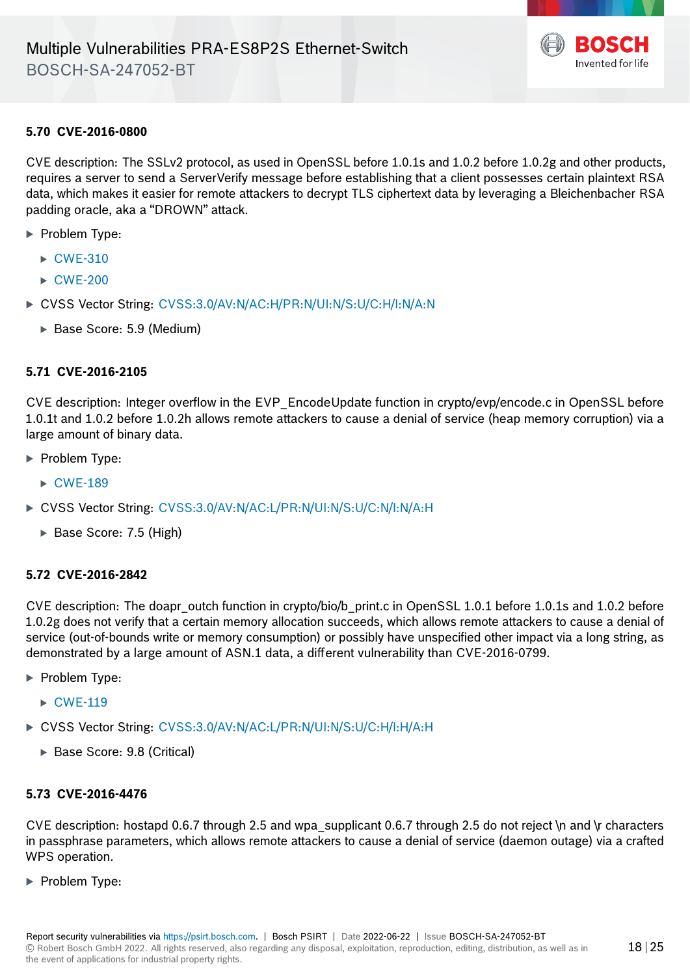

#### **5.70 CVE-2016-0800**

CVE description: The SSLv2 protocol, as used in OpenSSL before 1.0.1s and 1.0.2 before 1.0.2g and other products, requires a server to send a ServerVerify message before establishing that a client possesses certain plaintext RSA data, which makes it easier for remote attackers to decrypt TLS ciphertext data by leveraging a Bleichenbacher RSA padding oracle, aka a "DROWN" attack.

- · Problem Type:
	- $\triangleright$  [CWE-310](https://cwe.mitre.org/data/definitions/310.html)
	- $\triangleright$  [CWE-200](https://cwe.mitre.org/data/definitions/200.html)
- · CVSS Vector String: [CVSS:3.0/AV:N/AC:H/PR:N/UI:N/S:U/C:H/I:N/A:N](https://www.first.org/cvss/calculator/3.0#CVSS:3.0/AV:N/AC:H/PR:N/UI:N/S:U/C:H/I:N/A:N)
	- · Base Score: 5.9 (Medium)

#### **5.71 CVE-2016-2105**

CVE description: Integer overflow in the EVP\_EncodeUpdate function in crypto/evp/encode.c in OpenSSL before 1.0.1t and 1.0.2 before 1.0.2h allows remote attackers to cause a denial of service (heap memory corruption) via a large amount of binary data.

- **Problem Type:** 
	- $\triangleright$  [CWE-189](https://cwe.mitre.org/data/definitions/189.html)
- · CVSS Vector String: [CVSS:3.0/AV:N/AC:L/PR:N/UI:N/S:U/C:N/I:N/A:H](https://www.first.org/cvss/calculator/3.0#CVSS:3.0/AV:N/AC:L/PR:N/UI:N/S:U/C:N/I:N/A:H)
	- ▶ Base Score: 7.5 (High)

#### **5.72 CVE-2016-2842**

CVE description: The doapr\_outch function in crypto/bio/b\_print.c in OpenSSL 1.0.1 before 1.0.1s and 1.0.2 before 1.0.2g does not verify that a certain memory allocation succeeds, which allows remote attackers to cause a denial of service (out-of-bounds write or memory consumption) or possibly have unspecified other impact via a long string, as demonstrated by a large amount of ASN.1 data, a different vulnerability than CVE-2016-0799.

- · Problem Type:
	- $\triangleright$  [CWE-119](https://cwe.mitre.org/data/definitions/119.html)
- · CVSS Vector String: [CVSS:3.0/AV:N/AC:L/PR:N/UI:N/S:U/C:H/I:H/A:H](https://www.first.org/cvss/calculator/3.0#CVSS:3.0/AV:N/AC:L/PR:N/UI:N/S:U/C:H/I:H/A:H)
	- · Base Score: 9.8 (Critical)

## **5.73 CVE-2016-4476**

CVE description: hostapd 0.6.7 through 2.5 and wpa\_supplicant 0.6.7 through 2.5 do not reject \n and \r characters in passphrase parameters, which allows remote attackers to cause a denial of service (daemon outage) via a crafted WPS operation.

· Problem Type: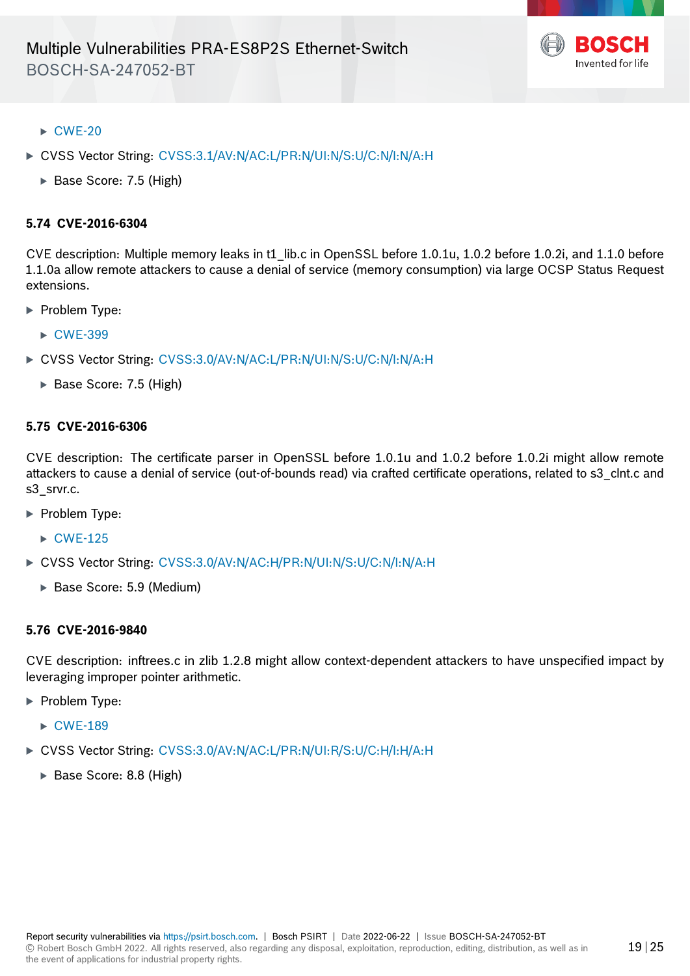

- $\triangleright$  [CWE-20](https://cwe.mitre.org/data/definitions/20.html)
- · CVSS Vector String: [CVSS:3.1/AV:N/AC:L/PR:N/UI:N/S:U/C:N/I:N/A:H](https://www.first.org/cvss/calculator/3.1#CVSS:3.1/AV:N/AC:L/PR:N/UI:N/S:U/C:N/I:N/A:H)
	- ▶ Base Score: 7.5 (High)

#### **5.74 CVE-2016-6304**

CVE description: Multiple memory leaks in t1\_lib.c in OpenSSL before 1.0.1u, 1.0.2 before 1.0.2i, and 1.1.0 before 1.1.0a allow remote attackers to cause a denial of service (memory consumption) via large OCSP Status Request extensions.

- **Problem Type:** 
	- ▶ [CWE-399](https://cwe.mitre.org/data/definitions/399.html)
- · CVSS Vector String: [CVSS:3.0/AV:N/AC:L/PR:N/UI:N/S:U/C:N/I:N/A:H](https://www.first.org/cvss/calculator/3.0#CVSS:3.0/AV:N/AC:L/PR:N/UI:N/S:U/C:N/I:N/A:H)
	- ▶ Base Score: 7.5 (High)

#### **5.75 CVE-2016-6306**

CVE description: The certificate parser in OpenSSL before 1.0.1u and 1.0.2 before 1.0.2i might allow remote attackers to cause a denial of service (out-of-bounds read) via crafted certificate operations, related to s3 clnt.c and s3\_srvr.c.

- ▶ Problem Type:
	- $\triangleright$  [CWE-125](https://cwe.mitre.org/data/definitions/125.html)
- · CVSS Vector String: [CVSS:3.0/AV:N/AC:H/PR:N/UI:N/S:U/C:N/I:N/A:H](https://www.first.org/cvss/calculator/3.0#CVSS:3.0/AV:N/AC:H/PR:N/UI:N/S:U/C:N/I:N/A:H)
	- · Base Score: 5.9 (Medium)

#### **5.76 CVE-2016-9840**

CVE description: inftrees.c in zlib 1.2.8 might allow context-dependent attackers to have unspecified impact by leveraging improper pointer arithmetic.

- **Problem Type:** 
	- $\triangleright$  [CWE-189](https://cwe.mitre.org/data/definitions/189.html)
- · CVSS Vector String: [CVSS:3.0/AV:N/AC:L/PR:N/UI:R/S:U/C:H/I:H/A:H](https://www.first.org/cvss/calculator/3.0#CVSS:3.0/AV:N/AC:L/PR:N/UI:R/S:U/C:H/I:H/A:H)
	- · Base Score: 8.8 (High)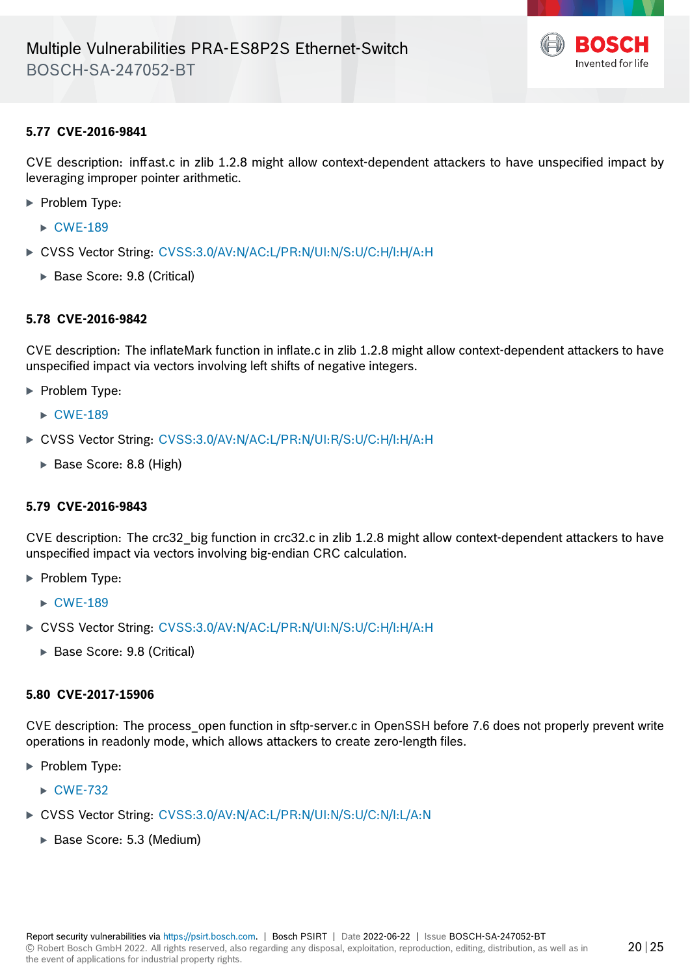

# **5.77 CVE-2016-9841**

CVE description: inffast.c in zlib 1.2.8 might allow context-dependent attackers to have unspecified impact by leveraging improper pointer arithmetic.

- · Problem Type:
	- $\triangleright$  [CWE-189](https://cwe.mitre.org/data/definitions/189.html)
- · CVSS Vector String: [CVSS:3.0/AV:N/AC:L/PR:N/UI:N/S:U/C:H/I:H/A:H](https://www.first.org/cvss/calculator/3.0#CVSS:3.0/AV:N/AC:L/PR:N/UI:N/S:U/C:H/I:H/A:H)
	- · Base Score: 9.8 (Critical)

# **5.78 CVE-2016-9842**

CVE description: The inflateMark function in inflate.c in zlib 1.2.8 might allow context-dependent attackers to have unspecified impact via vectors involving left shifts of negative integers.

- **Problem Type:** 
	- $\triangleright$  [CWE-189](https://cwe.mitre.org/data/definitions/189.html)
- · CVSS Vector String: [CVSS:3.0/AV:N/AC:L/PR:N/UI:R/S:U/C:H/I:H/A:H](https://www.first.org/cvss/calculator/3.0#CVSS:3.0/AV:N/AC:L/PR:N/UI:R/S:U/C:H/I:H/A:H)
	- · Base Score: 8.8 (High)

#### **5.79 CVE-2016-9843**

CVE description: The crc32\_big function in crc32.c in zlib 1.2.8 might allow context-dependent attackers to have unspecified impact via vectors involving big-endian CRC calculation.

- · Problem Type:
	- $\triangleright$  [CWE-189](https://cwe.mitre.org/data/definitions/189.html)
- · CVSS Vector String: [CVSS:3.0/AV:N/AC:L/PR:N/UI:N/S:U/C:H/I:H/A:H](https://www.first.org/cvss/calculator/3.0#CVSS:3.0/AV:N/AC:L/PR:N/UI:N/S:U/C:H/I:H/A:H)
	- · Base Score: 9.8 (Critical)

#### **5.80 CVE-2017-15906**

CVE description: The process\_open function in sftp-server.c in OpenSSH before 7.6 does not properly prevent write operations in readonly mode, which allows attackers to create zero-length files.

- **Problem Type:** 
	- ► [CWE-732](https://cwe.mitre.org/data/definitions/732.html)
- ▶ CVSS Vector String: [CVSS:3.0/AV:N/AC:L/PR:N/UI:N/S:U/C:N/I:L/A:N](https://www.first.org/cvss/calculator/3.0#CVSS:3.0/AV:N/AC:L/PR:N/UI:N/S:U/C:N/I:L/A:N)
	- · Base Score: 5.3 (Medium)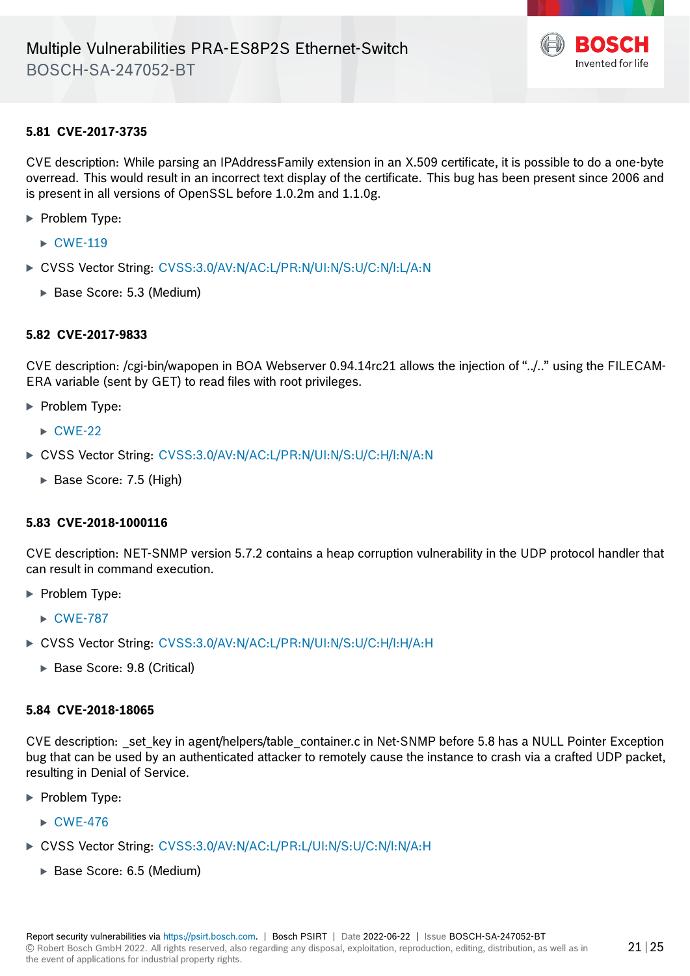

# **5.81 CVE-2017-3735**

CVE description: While parsing an IPAddressFamily extension in an X.509 certificate, it is possible to do a one-byte overread. This would result in an incorrect text display of the certificate. This bug has been present since 2006 and is present in all versions of OpenSSL before 1.0.2m and 1.1.0g.

- · Problem Type:
	- $\triangleright$  [CWE-119](https://cwe.mitre.org/data/definitions/119.html)
- ▶ CVSS Vector String: [CVSS:3.0/AV:N/AC:L/PR:N/UI:N/S:U/C:N/I:L/A:N](https://www.first.org/cvss/calculator/3.0#CVSS:3.0/AV:N/AC:L/PR:N/UI:N/S:U/C:N/I:L/A:N)
	- · Base Score: 5.3 (Medium)

#### **5.82 CVE-2017-9833**

CVE description: /cgi-bin/wapopen in BOA Webserver 0.94.14rc21 allows the injection of "../.." using the FILECAM-ERA variable (sent by GET) to read files with root privileges.

- **Problem Type:** 
	- $\triangleright$  [CWE-22](https://cwe.mitre.org/data/definitions/22.html)
- · CVSS Vector String: [CVSS:3.0/AV:N/AC:L/PR:N/UI:N/S:U/C:H/I:N/A:N](https://www.first.org/cvss/calculator/3.0#CVSS:3.0/AV:N/AC:L/PR:N/UI:N/S:U/C:H/I:N/A:N)
	- · Base Score: 7.5 (High)

#### **5.83 CVE-2018-1000116**

CVE description: NET-SNMP version 5.7.2 contains a heap corruption vulnerability in the UDP protocol handler that can result in command execution.

- · Problem Type:
	- ► [CWE-787](https://cwe.mitre.org/data/definitions/787.html)
- · CVSS Vector String: [CVSS:3.0/AV:N/AC:L/PR:N/UI:N/S:U/C:H/I:H/A:H](https://www.first.org/cvss/calculator/3.0#CVSS:3.0/AV:N/AC:L/PR:N/UI:N/S:U/C:H/I:H/A:H)
	- · Base Score: 9.8 (Critical)

#### **5.84 CVE-2018-18065**

CVE description: \_set\_key in agent/helpers/table\_container.c in Net-SNMP before 5.8 has a NULL Pointer Exception bug that can be used by an authenticated attacker to remotely cause the instance to crash via a crafted UDP packet, resulting in Denial of Service.

- · Problem Type:
	- $\triangleright$  [CWE-476](https://cwe.mitre.org/data/definitions/476.html)
- · CVSS Vector String: [CVSS:3.0/AV:N/AC:L/PR:L/UI:N/S:U/C:N/I:N/A:H](https://www.first.org/cvss/calculator/3.0#CVSS:3.0/AV:N/AC:L/PR:L/UI:N/S:U/C:N/I:N/A:H)
	- · Base Score: 6.5 (Medium)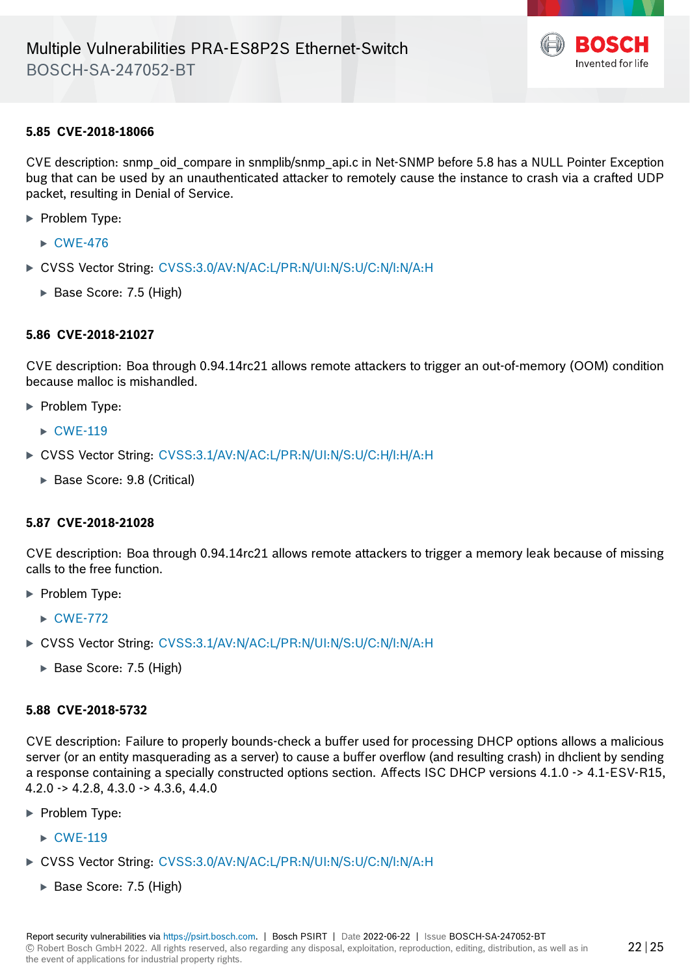

#### **5.85 CVE-2018-18066**

CVE description: snmp\_oid\_compare in snmplib/snmp\_api.c in Net-SNMP before 5.8 has a NULL Pointer Exception bug that can be used by an unauthenticated attacker to remotely cause the instance to crash via a crafted UDP packet, resulting in Denial of Service.

- · Problem Type:
	- $\triangleright$  [CWE-476](https://cwe.mitre.org/data/definitions/476.html)
- · CVSS Vector String: [CVSS:3.0/AV:N/AC:L/PR:N/UI:N/S:U/C:N/I:N/A:H](https://www.first.org/cvss/calculator/3.0#CVSS:3.0/AV:N/AC:L/PR:N/UI:N/S:U/C:N/I:N/A:H)
	- · Base Score: 7.5 (High)

#### **5.86 CVE-2018-21027**

CVE description: Boa through 0.94.14rc21 allows remote attackers to trigger an out-of-memory (OOM) condition because malloc is mishandled.

- **Problem Type:** 
	- $\triangleright$  [CWE-119](https://cwe.mitre.org/data/definitions/119.html)
- · CVSS Vector String: [CVSS:3.1/AV:N/AC:L/PR:N/UI:N/S:U/C:H/I:H/A:H](https://www.first.org/cvss/calculator/3.1#CVSS:3.1/AV:N/AC:L/PR:N/UI:N/S:U/C:H/I:H/A:H)
	- · Base Score: 9.8 (Critical)

#### **5.87 CVE-2018-21028**

CVE description: Boa through 0.94.14rc21 allows remote attackers to trigger a memory leak because of missing calls to the free function.

- · Problem Type:
	- $\triangleright$  [CWE-772](https://cwe.mitre.org/data/definitions/772.html)
- · CVSS Vector String: [CVSS:3.1/AV:N/AC:L/PR:N/UI:N/S:U/C:N/I:N/A:H](https://www.first.org/cvss/calculator/3.1#CVSS:3.1/AV:N/AC:L/PR:N/UI:N/S:U/C:N/I:N/A:H)
	- ▶ Base Score: 7.5 (High)

#### **5.88 CVE-2018-5732**

CVE description: Failure to properly bounds-check a buffer used for processing DHCP options allows a malicious server (or an entity masquerading as a server) to cause a buffer overflow (and resulting crash) in dhclient by sending a response containing a specially constructed options section. Affects ISC DHCP versions 4.1.0 -> 4.1-ESV-R15, 4.2.0 -> 4.2.8, 4.3.0 -> 4.3.6, 4.4.0

- ▶ Problem Type:
	- $\triangleright$  [CWE-119](https://cwe.mitre.org/data/definitions/119.html)
- · CVSS Vector String: [CVSS:3.0/AV:N/AC:L/PR:N/UI:N/S:U/C:N/I:N/A:H](https://www.first.org/cvss/calculator/3.0#CVSS:3.0/AV:N/AC:L/PR:N/UI:N/S:U/C:N/I:N/A:H)
	- · Base Score: 7.5 (High)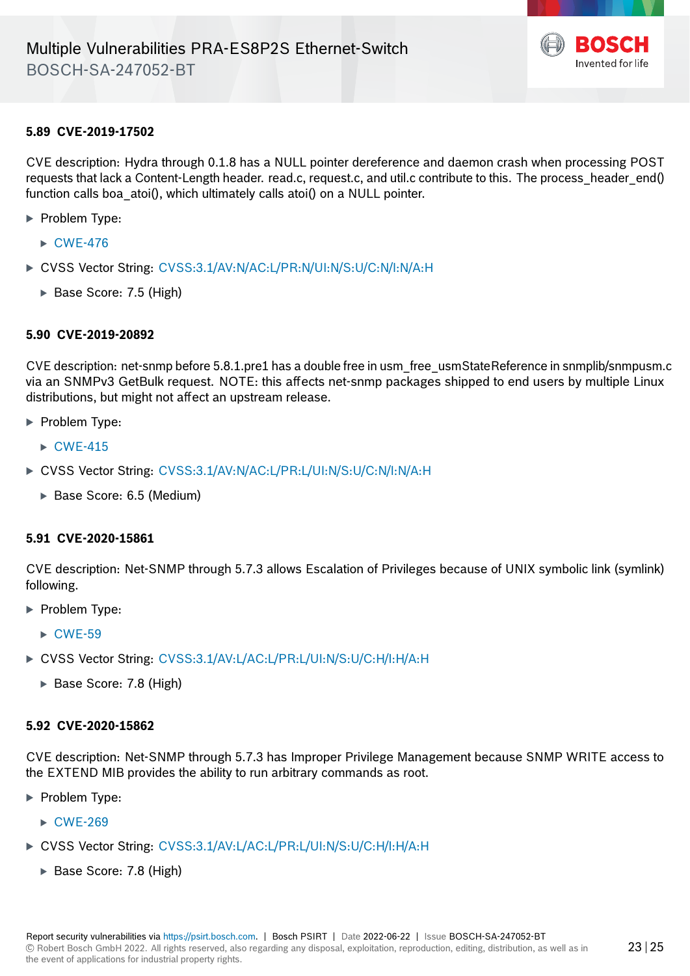

## **5.89 CVE-2019-17502**

CVE description: Hydra through 0.1.8 has a NULL pointer dereference and daemon crash when processing POST requests that lack a Content-Length header. read.c, request.c, and util.c contribute to this. The process header end() function calls boa\_atoi(), which ultimately calls atoi() on a NULL pointer.

- **Problem Type:** 
	- $\triangleright$  [CWE-476](https://cwe.mitre.org/data/definitions/476.html)
- · CVSS Vector String: [CVSS:3.1/AV:N/AC:L/PR:N/UI:N/S:U/C:N/I:N/A:H](https://www.first.org/cvss/calculator/3.1#CVSS:3.1/AV:N/AC:L/PR:N/UI:N/S:U/C:N/I:N/A:H)
	- · Base Score: 7.5 (High)

#### **5.90 CVE-2019-20892**

CVE description: net-snmp before 5.8.1.pre1 has a double free in usm\_free\_usmStateReference in snmplib/snmpusm.c via an SNMPv3 GetBulk request. NOTE: this affects net-snmp packages shipped to end users by multiple Linux distributions, but might not affect an upstream release.

- **Problem Type:** 
	- $\triangleright$  CWF-415
- · CVSS Vector String: [CVSS:3.1/AV:N/AC:L/PR:L/UI:N/S:U/C:N/I:N/A:H](https://www.first.org/cvss/calculator/3.1#CVSS:3.1/AV:N/AC:L/PR:L/UI:N/S:U/C:N/I:N/A:H)
	- · Base Score: 6.5 (Medium)

#### **5.91 CVE-2020-15861**

CVE description: Net-SNMP through 5.7.3 allows Escalation of Privileges because of UNIX symbolic link (symlink) following.

- **Problem Type:** 
	- $\triangleright$  [CWE-59](https://cwe.mitre.org/data/definitions/59.html)
- · CVSS Vector String: [CVSS:3.1/AV:L/AC:L/PR:L/UI:N/S:U/C:H/I:H/A:H](https://www.first.org/cvss/calculator/3.1#CVSS:3.1/AV:L/AC:L/PR:L/UI:N/S:U/C:H/I:H/A:H)
	- · Base Score: 7.8 (High)

#### **5.92 CVE-2020-15862**

CVE description: Net-SNMP through 5.7.3 has Improper Privilege Management because SNMP WRITE access to the EXTEND MIB provides the ability to run arbitrary commands as root.

- · Problem Type:
	- $\triangleright$  [CWE-269](https://cwe.mitre.org/data/definitions/269.html)
- · CVSS Vector String: [CVSS:3.1/AV:L/AC:L/PR:L/UI:N/S:U/C:H/I:H/A:H](https://www.first.org/cvss/calculator/3.1#CVSS:3.1/AV:L/AC:L/PR:L/UI:N/S:U/C:H/I:H/A:H)
	- · Base Score: 7.8 (High)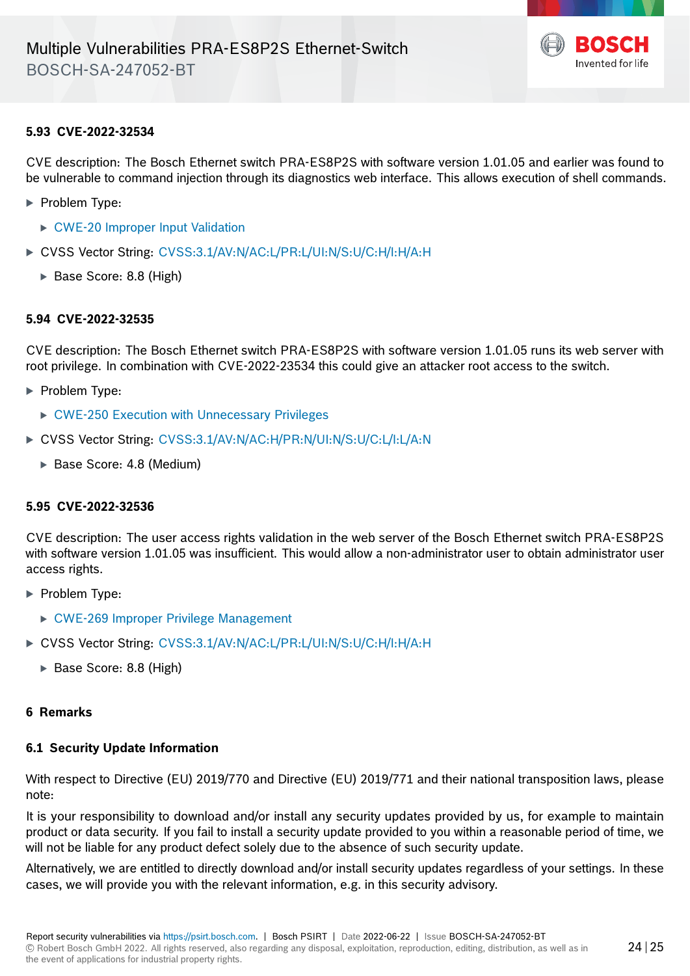

#### **5.93 CVE-2022-32534**

CVE description: The Bosch Ethernet switch PRA-ES8P2S with software version 1.01.05 and earlier was found to be vulnerable to command injection through its diagnostics web interface. This allows execution of shell commands.

- · Problem Type:
	- ▶ [CWE-20 Improper Input Validation](https://cwe.mitre.org/data/definitions/20.html)
- · CVSS Vector String: [CVSS:3.1/AV:N/AC:L/PR:L/UI:N/S:U/C:H/I:H/A:H](https://www.first.org/cvss/calculator/3.1#CVSS:3.1/AV:N/AC:L/PR:L/UI:N/S:U/C:H/I:H/A:H)
	- · Base Score: 8.8 (High)

#### **5.94 CVE-2022-32535**

CVE description: The Bosch Ethernet switch PRA-ES8P2S with software version 1.01.05 runs its web server with root privilege. In combination with CVE-2022-23534 this could give an attacker root access to the switch.

- · Problem Type:
	- · [CWE-250 Execution with Unnecessary Privileges](https://cwe.mitre.org/data/definitions/250.html)
- · CVSS Vector String: [CVSS:3.1/AV:N/AC:H/PR:N/UI:N/S:U/C:L/I:L/A:N](https://www.first.org/cvss/calculator/3.1#CVSS:3.1/AV:N/AC:H/PR:N/UI:N/S:U/C:L/I:L/A:N)
	- · Base Score: 4.8 (Medium)

#### **5.95 CVE-2022-32536**

CVE description: The user access rights validation in the web server of the Bosch Ethernet switch PRA-ES8P2S with software version 1.01.05 was insufficient. This would allow a non-administrator user to obtain administrator user access rights.

- · Problem Type:
	- · [CWE-269 Improper Privilege Management](https://cwe.mitre.org/data/definitions/269.html)
- · CVSS Vector String: [CVSS:3.1/AV:N/AC:L/PR:L/UI:N/S:U/C:H/I:H/A:H](https://www.first.org/cvss/calculator/3.1#CVSS:3.1/AV:N/AC:L/PR:L/UI:N/S:U/C:H/I:H/A:H)
	- · Base Score: 8.8 (High)

## **6 Remarks**

#### **6.1 Security Update Information**

With respect to Directive (EU) 2019/770 and Directive (EU) 2019/771 and their national transposition laws, please note:

It is your responsibility to download and/or install any security updates provided by us, for example to maintain product or data security. If you fail to install a security update provided to you within a reasonable period of time, we will not be liable for any product defect solely due to the absence of such security update.

Alternatively, we are entitled to directly download and/or install security updates regardless of your settings. In these cases, we will provide you with the relevant information, e.g. in this security advisory.